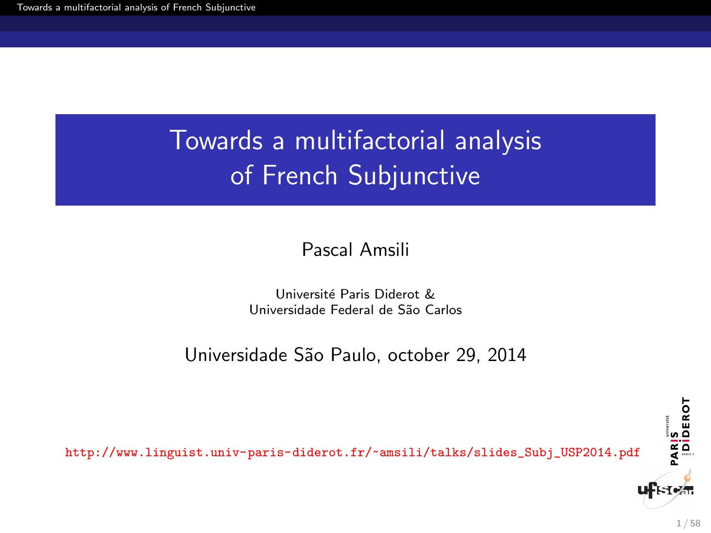<span id="page-0-0"></span>Pascal Amsili

Université Paris Diderot & Universidade Federal de S˜ao Carlos

Universidade São Paulo, october 29, 2014

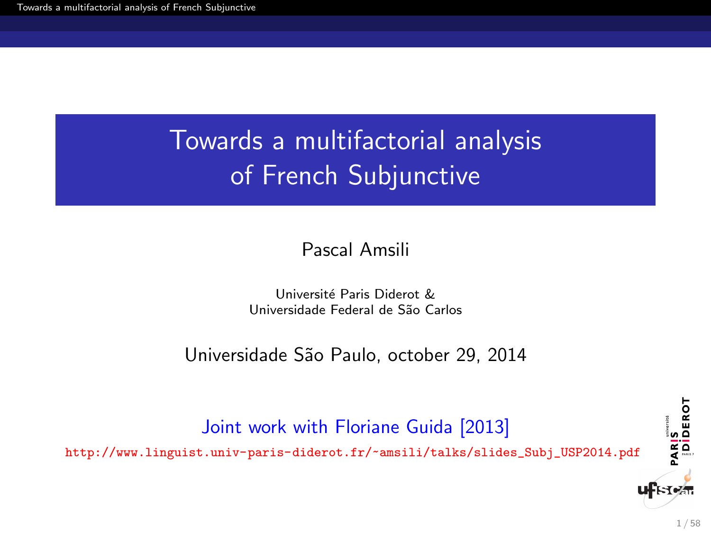#### Pascal Amsili

#### Université Paris Diderot & Universidade Federal de S˜ao Carlos

#### Universidade São Paulo, october 29, 2014

#### Joint work with Floriane Guida [2013]

[http://www.linguist.univ-paris-diderot.fr/~amsili/talks/slides\\_Subj\\_USP2014.pdf](http://www.linguist.univ-paris-diderot.fr/~amsili/talks/slides_Subj_USP2014.pdf)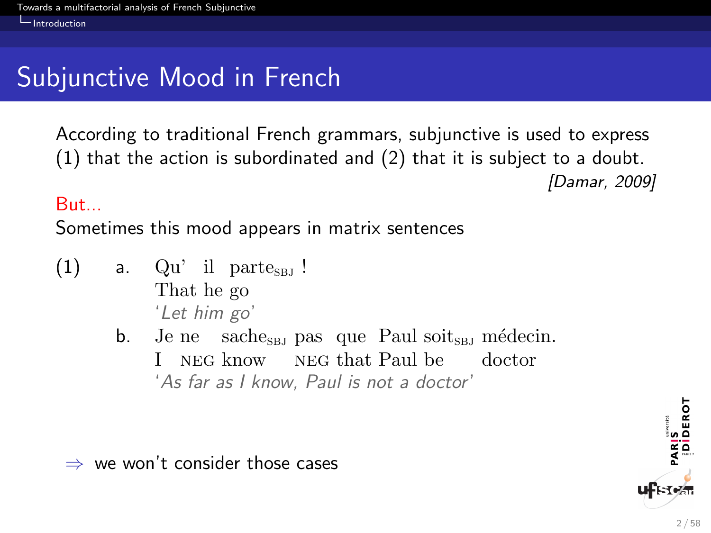# <span id="page-2-0"></span>Subjunctive Mood in French

According to traditional French grammars, subjunctive is used to express (1) that the action is subordinated and (2) that it is subject to a doubt. [Damar, 2009]

#### But...

Sometimes this mood appears in matrix sentences

- (1) a. Qu'il parte<sub>sBJ</sub>! That he go 'Let him go'
	- b. Je ne sache<sub>sBJ</sub> pas que Paul soit<sub>sBJ</sub> médecin. I NEG know NEG that Paul be doctor 'As far as I know, Paul is not a doctor'

 $\Rightarrow$  we won't consider those cases

DEROT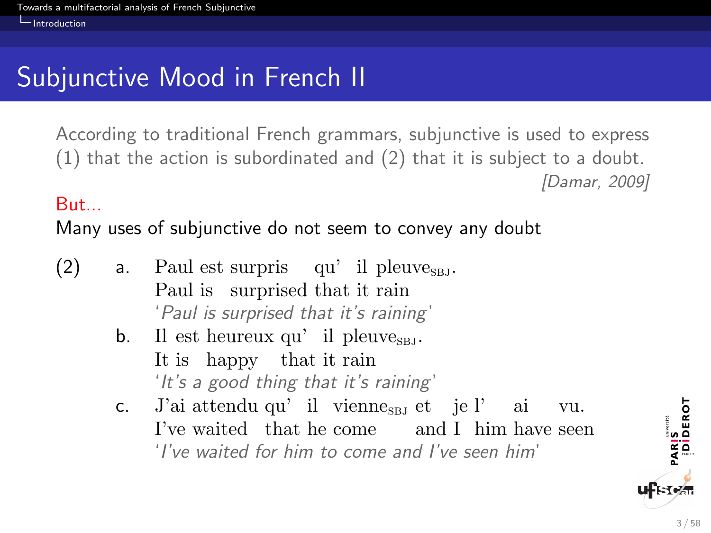# <span id="page-3-0"></span>Subjunctive Mood in French II

According to traditional French grammars, subjunctive is used to express (1) that the action is subordinated and (2) that it is subject to a doubt. [Damar, 2009]

#### But...

Many uses of subjunctive do not seem to convey any doubt

- (2) a. Paul est surpris qu'il pleuve<sub>s Bj</sub>. Paul is surprised that it rain 'Paul is surprised that it's raining '
	- $b.$ It is happy that it rain  $est$  heureux qu' il pleuve<sub>s BJ</sub>. 'It's a good thing that it's raining'
	- c. J'ai attendu qu'il vienne<sub>ses</sub> et je l'ai I've waited that he come and I him have seen vu. 'I've waited for him to come and I've seen him'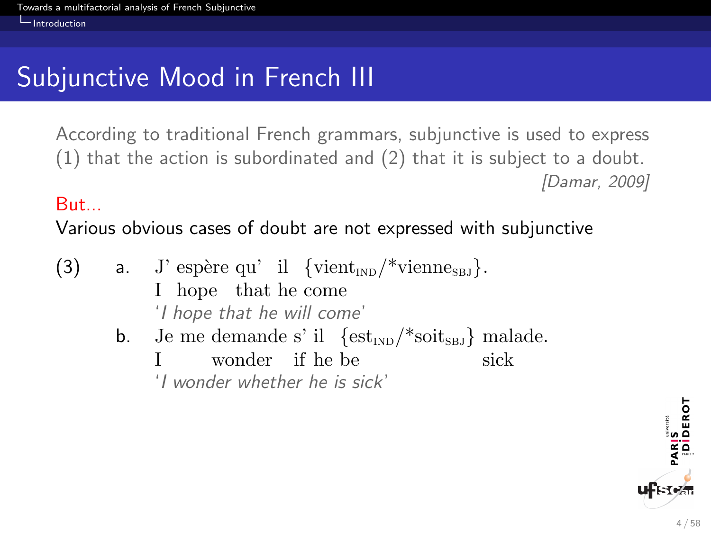# <span id="page-4-0"></span>Subjunctive Mood in French III

According to traditional French grammars, subjunctive is used to express (1) that the action is subordinated and (2) that it is subject to a doubt. [Damar, 2009]

#### But...

Various obvious cases of doubt are not expressed with subjunctive

- (3) a. J' espère qu' il  $\{\text{vient}_{\text{IND}}/\text{*} \text{vienne}_{\text{SBJ}}\}.$ I hope that he come 'I hope that he will come'
	- b. Je me demande s' il  $\{est_{IND}/*soit_{SBJ}\}\$ malade. I wonder if he be sick

'I wonder whether he is sick'

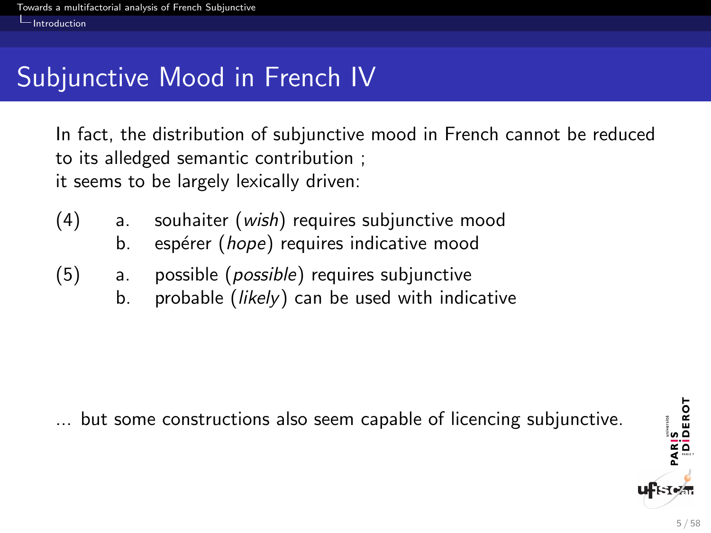# <span id="page-5-0"></span>Subjunctive Mood in French IV

In fact, the distribution of subjunctive mood in French cannot be reduced to its alledged semantic contribution ; it seems to be largely lexically driven:

- (4) a. souhaiter (wish) requires subjunctive mood
	- b. espérer (hope) requires indicative mood
- (5) a. possible (possible) requires subjunctive
	- b. probable (*likely*) can be used with indicative

... but some constructions also seem capable of licencing subjunctive.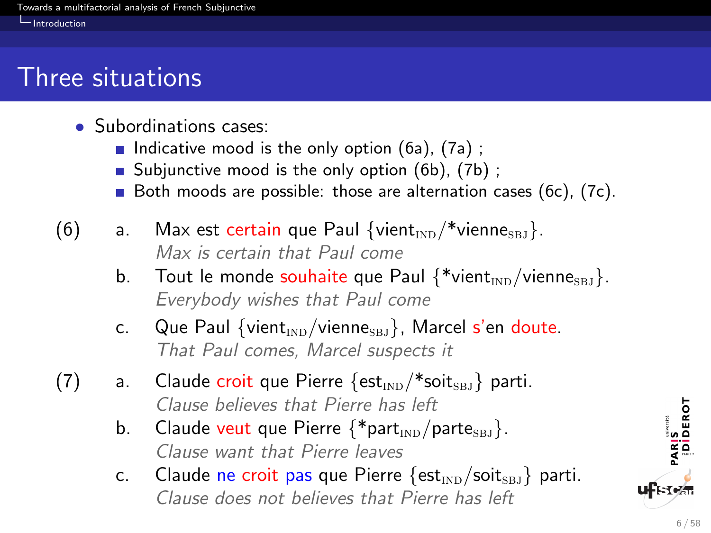### <span id="page-6-0"></span>Three situations

- Subordinations cases:
	- Indicative mood is the only option  $(6a)$ ,  $(7a)$ ;
	- Subjunctive mood is the only option  $(6b)$ ,  $(7b)$ ;
	- Both moods are possible: those are alternation cases (6c), (7c).
- (6) a. Max est certain que Paul  $\{$ vient $_{\text{ND}}$ /\*vienne $_{\text{SBI}}\}$ . Max is certain that Paul come
	- b. Tout le monde souhaite que Paul  $\{\ast_{\text{vient}_{\text{IND}}}/\text{vienne}_{\text{SBD}}\}$ . Everybody wishes that Paul come
	- c. Que Paul {vient<sub>IND</sub>/vienne<sub>SBJ</sub>}, Marcel s'en doute. That Paul comes, Marcel suspects it
- (7) a. Claude croit que Pierre  $\{est_{\text{IND}}/\ast solits_{\text{BD}}\}$  parti. Clause believes that Pierre has left
	- b. Claude veut que Pierre  $\{\ast_{\text{part}_{\text{IND}}}/\text{part}_{\text{SBI}}\}.$ Clause want that Pierre leaves
	- c. Claude ne croit pas que Pierre  $\{est_{\text{IND}}/soits_{\text{BBJ}}\}$  parti. Clause does not believes that Pierre has left

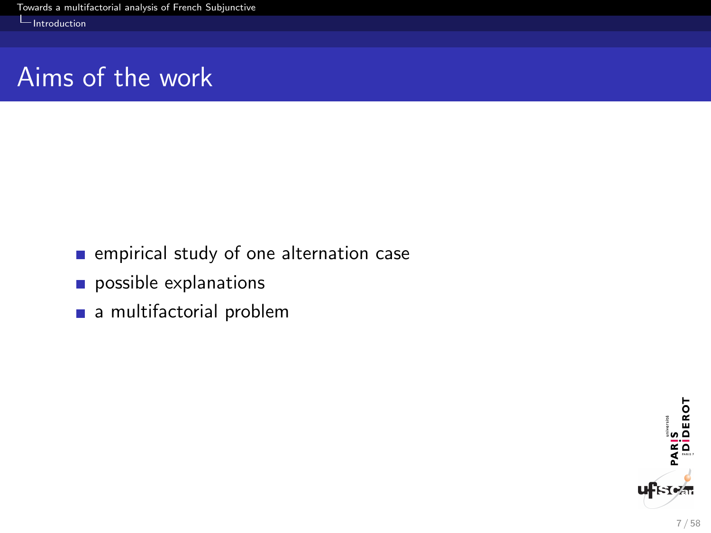# <span id="page-7-0"></span>Aims of the work

- **n** empirical study of one alternation case
- possible explanations
- a multifactorial problem

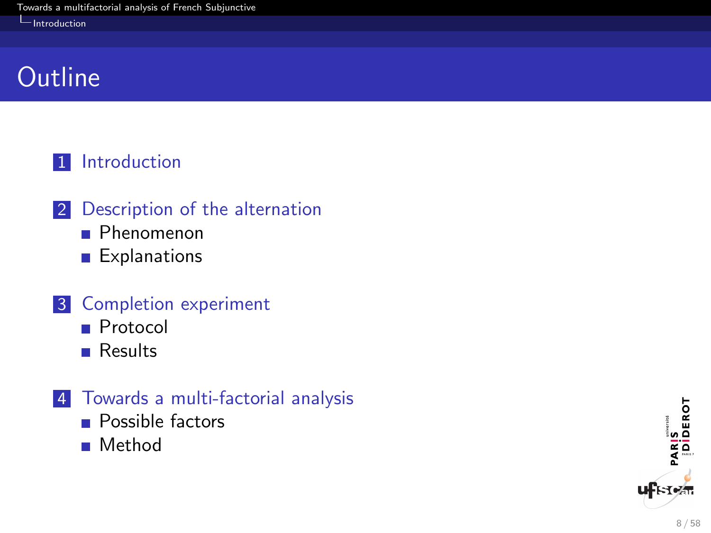#### <span id="page-8-0"></span><u>I</u>ntroduction

### **Outline**

#### 1 [Introduction](#page-2-0)

- 2 [Description of the alternation](#page-9-0)
	- **[Phenomenon](#page-9-0)**
	- **[Explanations](#page-24-0)**

#### 3 [Completion experiment](#page-38-0)

- **[Protocol](#page-38-0)**
- **[Results](#page-42-0)**

#### 4 [Towards a multi-factorial analysis](#page-50-0)

- **[Possible factors](#page-50-0)**
- **[Method](#page-55-0)**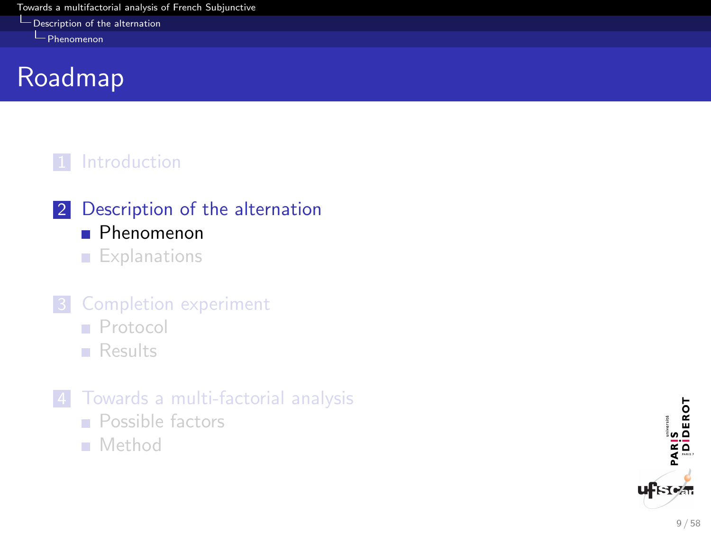<span id="page-9-0"></span>[Description of the alternation](#page-9-0)

[Phenomenon](#page-9-0)

# Roadmap

#### 1 [Introduction](#page-2-0)

- 2 [Description of the alternation](#page-9-0)
	- **[Phenomenon](#page-9-0)**
	- **[Explanations](#page-24-0)**

### **3** [Completion experiment](#page-38-0)

- **[Protocol](#page-38-0)**
- **[Results](#page-42-0)**
- 4 [Towards a multi-factorial analysis](#page-50-0)
	- **[Possible factors](#page-50-0)**
	- [Method](#page-55-0)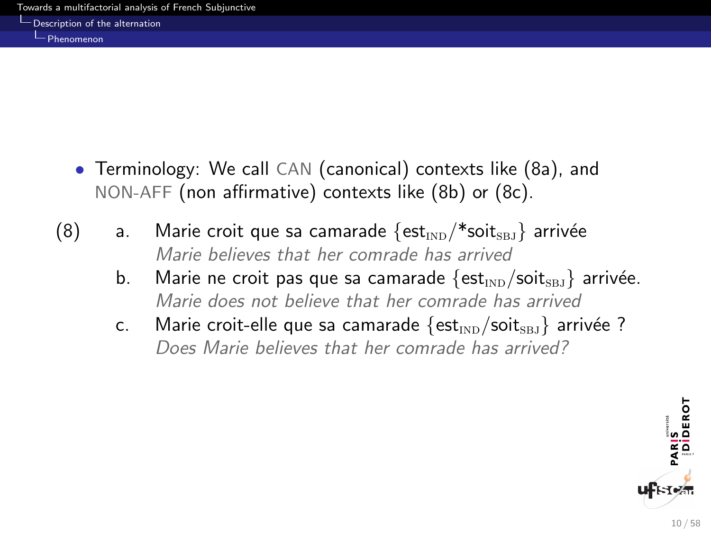<span id="page-10-0"></span>**[Description of the alternation](#page-10-0)** 

[Phenomenon](#page-10-0)

- Terminology: We call CAN (canonical) contexts like (8a), and NON-AFF (non affirmative) contexts like (8b) or (8c).
- (8) a. Marie croit que sa camarade  $\{est_{\text{IND}}/\text{*}soit_{\text{SBJ}}\}$  arrivée Marie believes that her comrade has arrived
	- b. Marie ne croit pas que sa camarade  $\{est_{ND}/soit_{SBI}\}$  arrivée. Marie does not believe that her comrade has arrived
	- c. Marie croit-elle que sa camarade  $\{est_{ND}/soit_{SBI}\}$  arrivée ? Does Marie believes that her comrade has arrived?

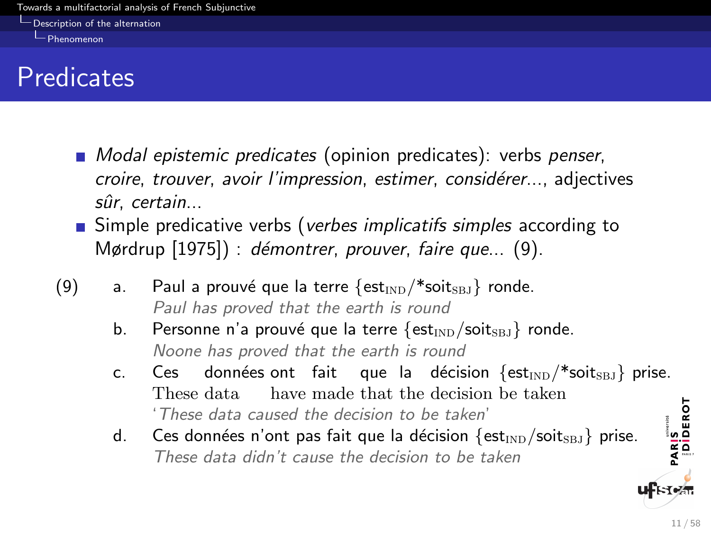<span id="page-11-0"></span>**[Description of the alternation](#page-11-0)** 

[Phenomenon](#page-11-0)

### **Predicates**

- **Modal epistemic predicates (opinion predicates)**: verbs penser, croire, trouver, avoir l'impression, estimer, considérer..., adjectives sûr. certain...
- **Simple predicative verbs (verbes implicatifs simples according to** Mørdrup  $[1975]$ : démontrer, prouver, faire que...  $(9)$ .
- (9) a. Paul a prouvé que la terre  $\{est_{\text{IND}}/\ast\text{soits}_{\text{BJ}}\}$  ronde. Paul has proved that the earth is round
	- b. Personne n'a prouvé que la terre  $\{est_{\text{IND}}/soits_{\text{BJ}}\}$  ronde. Noone has proved that the earth is round
	- c. Ces données $\mathsf{out}$  fait que la décision  $\{\mathsf{est}_{\mathsf{IND}}/\mathsf{*} \mathsf{soits}_{\mathsf{BJ}}\}$  prise. These data have made that the decision be taken PARIS<br>|Diderot 'These data caused the decision to be taken'
	- d. Ces données n'ont pas fait que la décision  $\{est_{\text{IND}}/soits_{\text{BJ}}\}$  prise. These data didn't cause the decision to be taken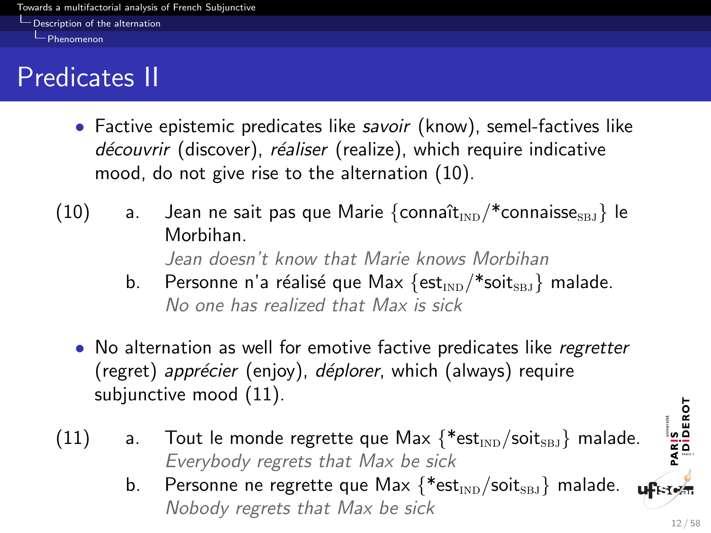<span id="page-12-0"></span>**[Description of the alternation](#page-12-0)** 

[Phenomenon](#page-12-0)

# Predicates II

- Factive epistemic predicates like savoir (know), semel-factives like découvrir (discover), réaliser (realize), which require indicative mood, do not give rise to the alternation (10).
- (10) a. Jean ne sait pas que Marie  $\{\text{connaît}_{\text{IND}}/\text{*} \text{connaisse}_{\text{SBI}}\}$  le Morbihan. Jean doesn't know that Marie knows Morbihan
	- b. Personne n'a réalisé que Max  $\{est_{mn}/\ast solit_{sn} \}$  malade. No one has realized that Max is sick
	- No alternation as well for emotive factive predicates like regretter (regret) apprécier (enjoy), déplorer, which (always) require subjunctive mood [\(11\).](#page-12-1)
- <span id="page-12-1"></span>(11) a. Tout le monde regrette que Max  $\{\ast_{\text{est}_{\text{IND}}}/\text{soit}_{\text{SBI}}\}$  malade. Everybody regrets that Max be sick
	- b. Personne ne regrette que Max  $\{\ast_{\text{est}_{\text{IND}}}/\text{soit}_{\text{SBI}}\}$  malade. **ufstem** Nobody regrets that Max be sick

PARIS<br>|DİDEROT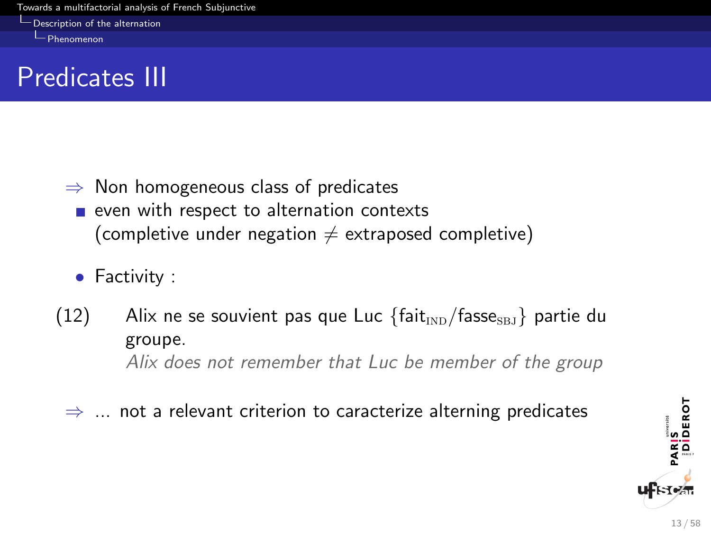[Description of the alternation](#page-13-0)

<span id="page-13-0"></span>[Phenomenon](#page-13-0)

# Predicates III

- $\Rightarrow$  Non homogeneous class of predicates  $\blacksquare$  even with respect to alternation contexts (completive under negation  $\neq$  extraposed completive)
	- Factivity :
- (12) Alix ne se souvient pas que Luc  $\{\text{fair}_{\text{IND}}/\text{fasse}_{\text{SB}}\}$  partie du groupe. Alix does not remember that Luc be member of the group
	- $\Rightarrow$  ... not a relevant criterion to caracterize alterning predicates

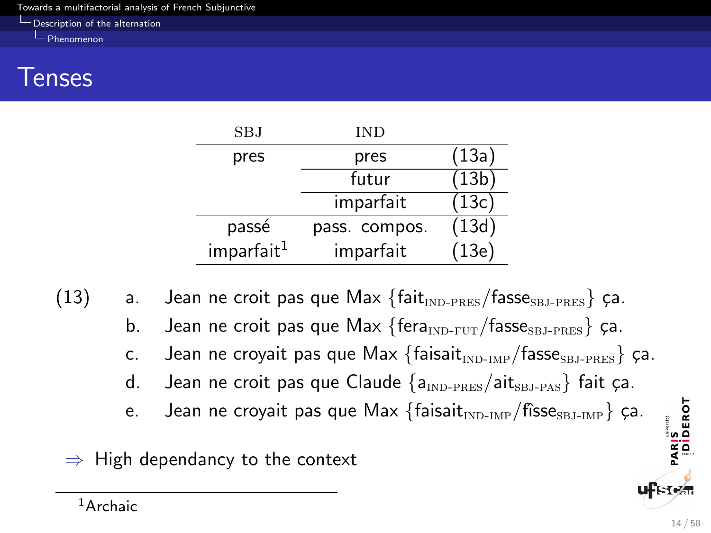<span id="page-14-0"></span>**[Description of the alternation](#page-14-0)** 

[Phenomenon](#page-14-0)

### Tenses

| SBJ                    | IND           |       |
|------------------------|---------------|-------|
| pres                   | pres          | (13a) |
|                        | futur         | (13b) |
|                        | imparfait     | (13c) |
| passé                  | pass. compos. | (13d) |
| imparfait <sup>1</sup> | imparfait     | (13e) |

<span id="page-14-3"></span><span id="page-14-2"></span><span id="page-14-1"></span>(13) a. Jean ne croit pas que Max  $\{$ fait $_{\text{IND-PRES}}/$ fasse<sub>SBJ-PRES</sub> $\}$  ça.

- b. Jean ne croit pas que Max  $\{fera_{\text{IND-FUT}}/fases_{\text{BJ-PRES}}\}$  ça.
- c. Jean ne croyait pas que Max  $\{\text{faisait}_{\text{IND-IMP}}/\text{fasse}_{\text{SBJ-PRES}}\}$  ça.
- <span id="page-14-4"></span>d. Jean ne croit pas que Claude  $\{a_{\text{IND-PRES}}/a_{\text{IRI-PAS}}\}$  fait ça.
- e. Jean ne croyait pas que Max  $\{f \text{dissait}_{\text{IND-IMP}}/f \text{fisses}_{\text{SB-JMP}}\}$  ça.

<span id="page-14-5"></span> $\Rightarrow$  High dependancy to the context

PARIS<br>|DIDEROT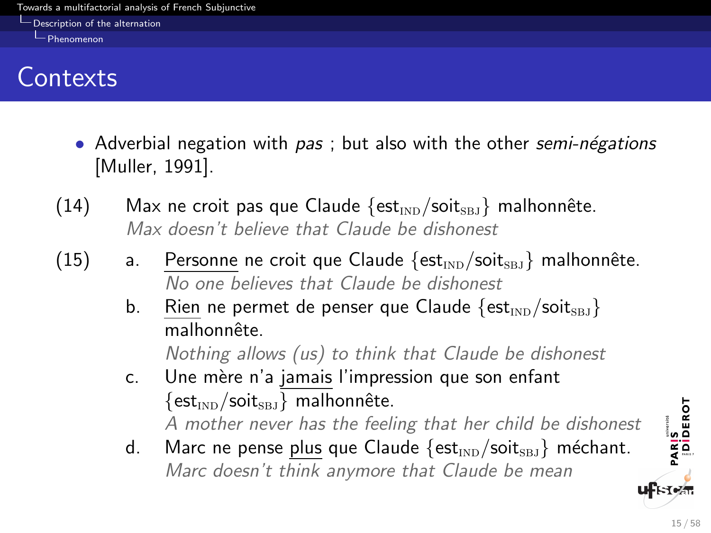<span id="page-15-0"></span>[Description of the alternation](#page-15-0)

**[Phenomenon](#page-15-0)** 

# **Contexts**

- Adverbial negation with  $pas$ ; but also with the other semi-négations [Muller, 1991].
- (14) Max ne croit pas que Claude  $\{est_{\text{IND}}/soit_{\text{SBJ}}\}$  malhonnête. Max doesn't believe that Claude be dishonest
- (15) a. Personne ne croit que Claude  $\{est_{\text{IND}}/soits_{\text{BB}}\}$  malhonnête. No one believes that Claude be dishonest
	- b. Rien ne permet de penser que Claude  $\{est_{\text{IND}}/soits_{\text{BJ}}\}$ malhonnête

Nothing allows (us) to think that Claude be dishonest

- c. Une mère n'a jamais l'impression que son enfant  $\{est_{\text{IND}}/soit_{\text{SBI}}\}$  malhonnête. A mother never has the feeling that her child be dishonest
- d. Marc ne pense plus que Claude  $\{est_{\text{IND}}/soit_{\text{SRI}}\}$  méchant. Marc doesn't think anymore that Claude be mean

PARIS<br>|DİDEROT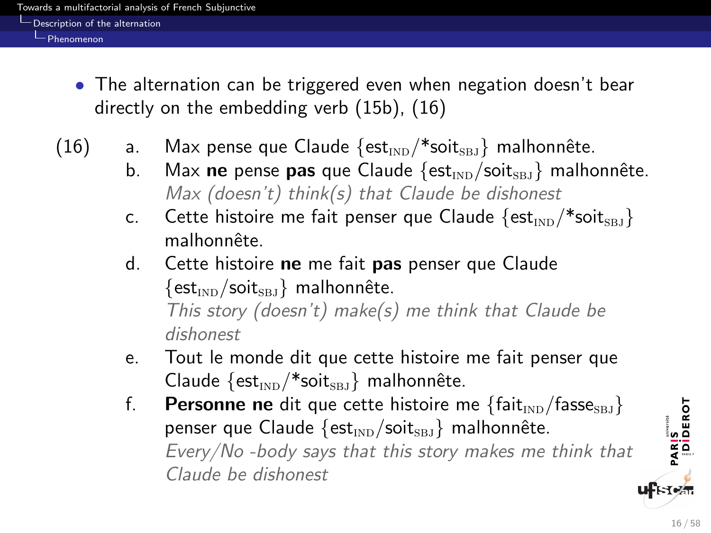<span id="page-16-0"></span>[Description of the alternation](#page-16-0)

[Phenomenon](#page-16-0)

- The alternation can be triggered even when negation doesn't bear directly on the embedding verb (15b), (16)
- (16) a. Max pense que Claude  $\{est_{\text{IND}}/\ast sat\text{soit}_{\text{SBJ}}\}$  malhonnête.
	- b. Max ne pense pas que Claude  $\{est_{\text{IND}}/soits_{\text{RI}}\}$  malhonnête. Max (doesn't) think(s) that Claude be dishonest
	- c. Cette histoire me fait penser que Claude  $\{est_{ND}/\ast solts_{BJ}\}$ malhonnête.
	- d. Cette histoire ne me fait pas penser que Claude  $\{est_{\text{IND}}/soit_{\text{SBI}}\}$  malhonnête. This story (doesn't) make(s) me think that Claude be dishonest
	- e. Tout le monde dit que cette histoire me fait penser que Claude  $\{est_{ND}/\ast solit_{SBJ}\}\$  malhonnête.
	- f. Personne ne dit que cette histoire me  $\{$ fait<sub>IND</sub>/fasse<sub>SBJ</sub>} penser que Claude  $\{est_{\text{IND}}/soit_{\text{SBI}}\}$  malhonnête. Every/No -body says that this story makes me think that Claude be dishonest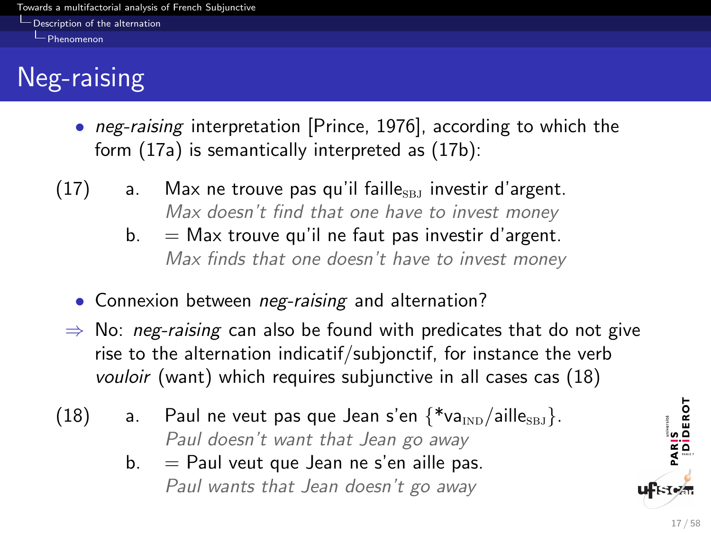<span id="page-17-0"></span>[Description of the alternation](#page-17-0)

[Phenomenon](#page-17-0)

# Neg-raising

- *neg-raising* interpretation [Prince, 1976], according to which the form (17a) is semantically interpreted as (17b):
- $(17)$  a. Max ne trouve pas qu'il faille $_{SBJ}$  investir d'argent. Max doesn't find that one have to invest money
	- $b. =$  Max trouve qu'il ne faut pas investir d'argent. Max finds that one doesn't have to invest money
	- Connexion between *neg-raising* and alternation?
	- $\Rightarrow$  No: *neg-raising* can also be found with predicates that do not give rise to the alternation indicatif/subjonctif, for instance the verb vouloir (want) which requires subjunctive in all cases cas (18)
- (18) a. Paul ne veut pas que Jean s'en  $\{\ast$ va<sub>IND</sub>/aille<sub>SBJ</sub>. Paul doesn't want that Jean go away
	- $b. =$  Paul veut que Jean ne s'en aille pas. Paul wants that Jean doesn't go away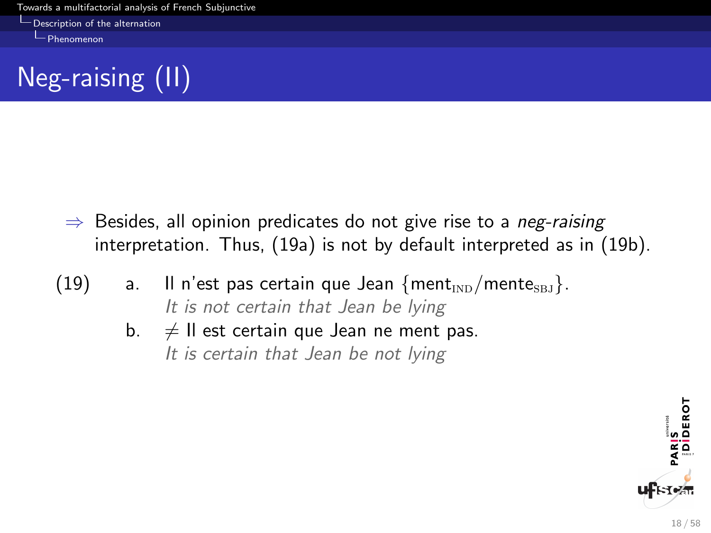<span id="page-18-0"></span>[Description of the alternation](#page-18-0)

[Phenomenon](#page-18-0)



- $\Rightarrow$  Besides, all opinion predicates do not give rise to a *neg-raising* interpretation. Thus, (19a) is not by default interpreted as in (19b).
- (19) a. Il n'est pas certain que Jean  ${m_{\text{IND}}/$ mente<sub>SBJ</sub>. It is not certain that Jean be lying
	- b.  $\neq$  Il est certain que Jean ne ment pas. It is certain that Jean be not lying

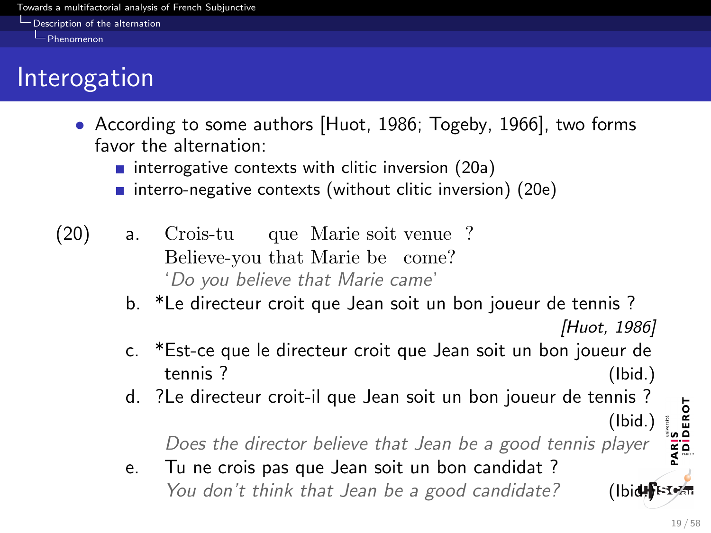<span id="page-19-0"></span>**[Description of the alternation](#page-19-0)** 

[Phenomenon](#page-19-0)

# Interogation

- According to some authors [Huot, 1986; Togeby, 1966], two forms favor the alternation:
	- $\blacksquare$  interrogative contexts with clitic inversion (20a)
	- interro-negative contexts (without clitic inversion) (20e)
- (20) a. Crois-tu Believe-you that Marie be come? que Marie soit venue ? 'Do you believe that Marie came'
	- b. \*Le directeur croit que Jean soit un bon joueur de tennis ?

[Huot, 1986]

(Ibid.)

- c. \*Est-ce que le directeur croit que Jean soit un bon joueur de tennis ? (Ibid.)
- d. ?Le directeur croit-il que Jean soit un bon joueur de tennis ?

Does the director believe that Jean be a good tennis player

e. Tu ne crois pas que Jean soit un bon candidat ? You don't think that Jean be a good candidate? (Ibide $\mathbb{R}$ ster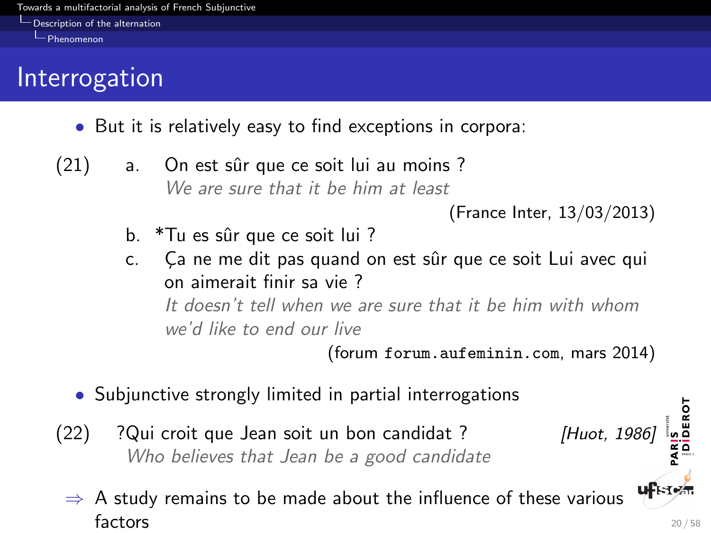<span id="page-20-0"></span>**[Description of the alternation](#page-20-0)** 

[Phenomenon](#page-20-0)

# Interrogation

- But it is relatively easy to find exceptions in corpora:
- $(21)$  a. On est sûr que ce soit lui au moins? We are sure that it he him at least

- b. \*Tu es sûr que ce soit lui ?
- c. Ca ne me dit pas quand on est sûr que ce soit Lui avec qui on aimerait finir sa vie ? It doesn't tell when we are sure that it be him with whom we'd like to end our live

(forum forum.aufeminin.com, mars 2014)

- Subjunctive strongly limited in partial interrogations
- $(22)$  ? Qui croit que Jean soit un bon candidat ? [Huot, 1986] Who believes that Jean be a good candidate
	- **uf**Free  $\Rightarrow$  A study remains to be made about the influence of these various factors  $20/58$

<sup>(</sup>France Inter, 13/03/2013)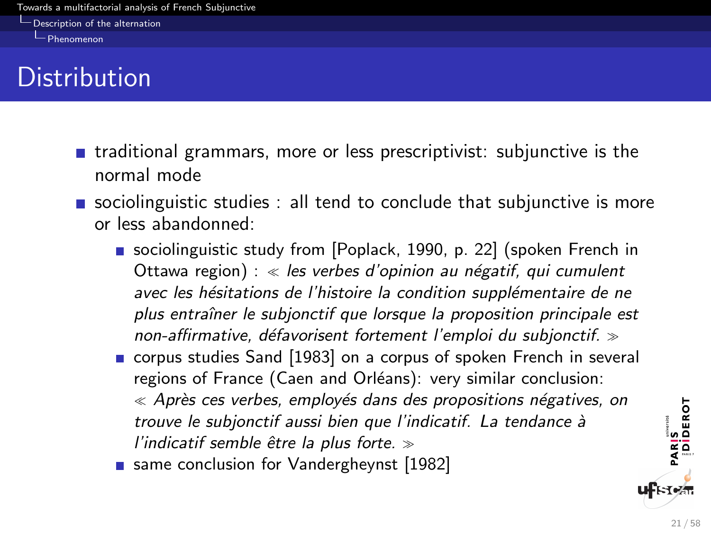<span id="page-21-0"></span>[Description of the alternation](#page-21-0)

[Phenomenon](#page-21-0)

# **Distribution**

- $\blacksquare$  traditional grammars, more or less prescriptivist: subjunctive is the normal mode
- **s** sociolinguistic studies : all tend to conclude that subjunctive is more or less abandonned:
	- sociolinguistic study from [Poplack, 1990, p. 22] (spoken French in Ottawa region) : « les verbes d'opinion au négatif, qui cumulent avec les hésitations de l'histoire la condition supplémentaire de ne plus entraîner le subjonctif que lorsque la proposition principale est non-affirmative, défavorisent fortement l'emploi du subjonctif.  $\gg$
	- corpus studies Sand [1983] on a corpus of spoken French in several regions of France (Caen and Orléans): very similar conclusion:  $\ll$  Après ces verbes, employés dans des propositions négatives, on trouve le subjonctif aussi bien que l'indicatif. La tendance à l'indicatif semble être la plus forte.  $\gg$
	- same conclusion for Vandergheynst [1982]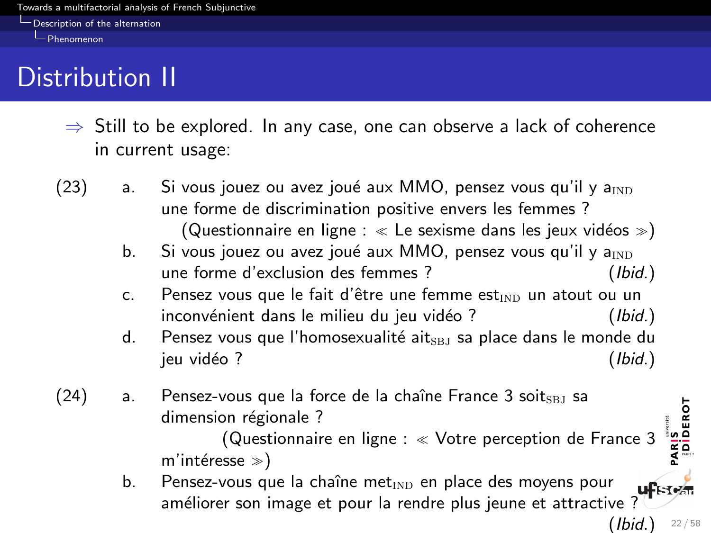<span id="page-22-0"></span>[Description of the alternation](#page-22-0)

[Phenomenon](#page-22-0)

# Distribution II

- $\Rightarrow$  Still to be explored. In any case, one can observe a lack of coherence in current usage:
- $(23)$  a. Si vous jouez ou avez joué aux MMO, pensez vous qu'il y a<sub>IND</sub> une forme de discrimination positive envers les femmes ? (Questionnaire en ligne :  $\ll$  Le sexisme dans les jeux vidéos  $\gg$ )
	- b. Si vous jouez ou avez joué aux MMO, pensez vous qu'il y  $a_{\text{IND}}$ une forme d'exclusion des femmes ? (Ibid.)
	- c. Pensez vous que le fait d'être une femme est $_{\text{IND}}$  un atout ou un inconvénient dans le milieu du jeu vidéo ? (Ibid.)
	- d. Pensez vous que l'homosexualité ait $_{SBJ}$  sa place dans le monde du jeu vidéo ? (Ibid.)
- $(24)$  a. Pensez-vous que la force de la chaîne France 3 soits $_{\rm BLI}$  sa dimension régionale ?

(Questionnaire en ligne : Votre perception de France 3 m'intéresse  $\gg$ )

b. Pensez-vous que la chaîne met $_{\text{IND}}$  en place des moyens pour Pensez-vous que la chaîne met<sub>IND</sub> en place des moyens pour  $\mathbf{u}$ F<sub>t-Tez</sub>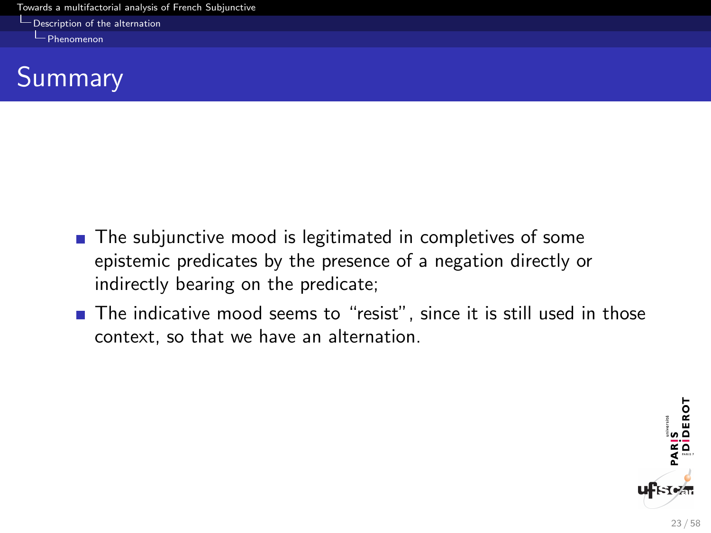**L** [Description of the alternation](#page-23-0)

<span id="page-23-0"></span>[Phenomenon](#page-23-0)



- The subjunctive mood is legitimated in completives of some epistemic predicates by the presence of a negation directly or indirectly bearing on the predicate;
- The indicative mood seems to "resist", since it is still used in those context, so that we have an alternation.

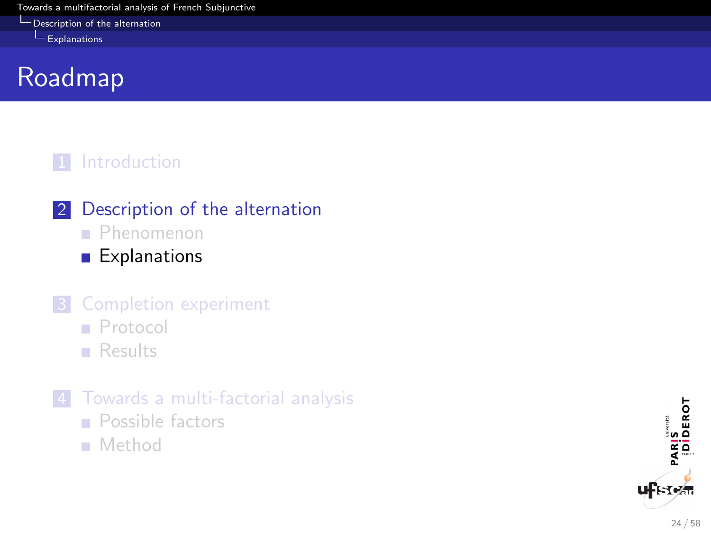<span id="page-24-0"></span>[Description of the alternation](#page-24-0)

[Explanations](#page-24-0)

# Roadmap

#### 1 [Introduction](#page-2-0)

- 2 [Description of the alternation](#page-9-0)
	- **[Phenomenon](#page-9-0)**
	- **[Explanations](#page-24-0)**

### **3** [Completion experiment](#page-38-0)

- **[Protocol](#page-38-0)**
- **[Results](#page-42-0)**
- 4 [Towards a multi-factorial analysis](#page-50-0)
	- **[Possible factors](#page-50-0)**
	- [Method](#page-55-0)

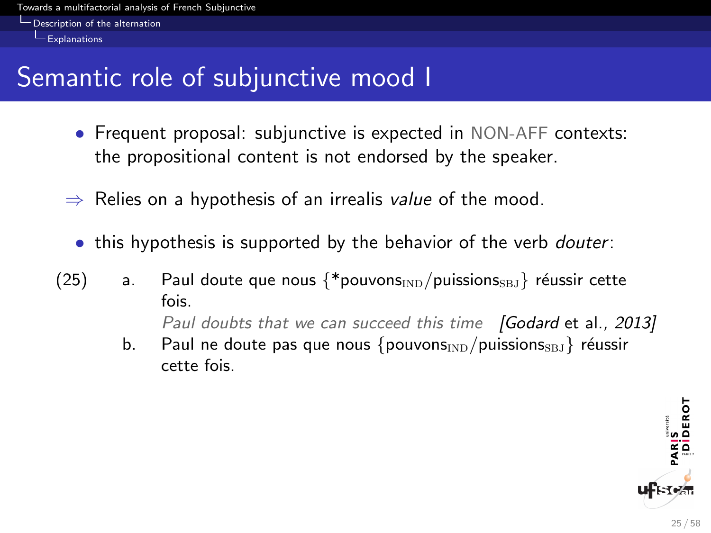<span id="page-25-0"></span>[Description of the alternation](#page-25-0)

 $L$  [Explanations](#page-25-0)

# Semantic role of subjunctive mood I

- Frequent proposal: subjunctive is expected in NON-AFF contexts: the propositional content is not endorsed by the speaker.
- $\Rightarrow$  Relies on a hypothesis of an irrealis value of the mood.
	- this hypothesis is supported by the behavior of the verb *douter*:
- (25) a. Paul doute que nous  $\{\ast_{\text{pouvons}_{\text{IND}}}/\text{puissions}_{\text{SBJ}}\}$  réussir cette fois.

Paul doubts that we can succeed this time [Godard et al., 2013]

b. Paul ne doute pas que nous  $\{pouvons_{\text{IND}}/puissions_{\text{SBI}}\}$  réussir cette fois.

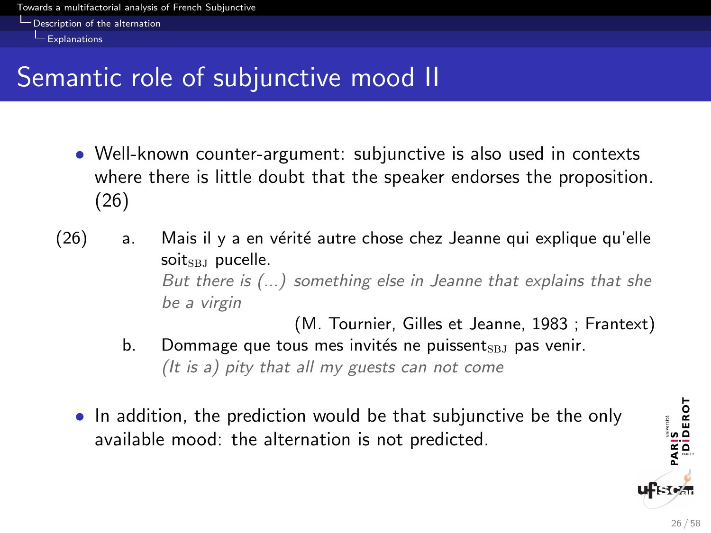<span id="page-26-0"></span>[Description of the alternation](#page-26-0)

 $L$  [Explanations](#page-26-0)

# Semantic role of subjunctive mood II

- Well-known counter-argument: subjunctive is also used in contexts where there is little doubt that the speaker endorses the proposition. (26)
- $(26)$  a. Mais il y a en vérité autre chose chez Jeanne qui explique qu'elle soit $_{\rm SBJ}$  pucelle. But there is (...) something else in Jeanne that explains that she be a virgin

(M. Tournier, Gilles et Jeanne, 1983 ; Frantext)

- b. Dommage que tous mes invités ne puissent  $_{\text{SBJ}}$  pas venir. (It is a) pity that all my guests can not come
- In addition, the prediction would be that subjunctive be the only available mood: the alternation is not predicted.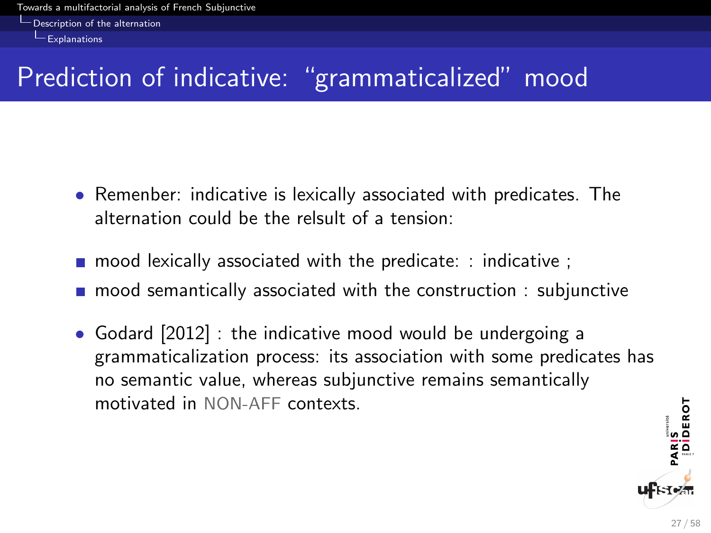<span id="page-27-0"></span>[Description of the alternation](#page-27-0)

 $L$ [Explanations](#page-27-0)

# Prediction of indicative: "grammaticalized" mood

- Remenber: indicative is lexically associated with predicates. The alternation could be the relsult of a tension:
- $\blacksquare$  mood lexically associated with the predicate: : indicative ;
- **n** mood semantically associated with the construction : subjunctive
- Godard [2012] : the indicative mood would be undergoing a grammaticalization process: its association with some predicates has no semantic value, whereas subjunctive remains semantically motivated in NON-AFF contexts.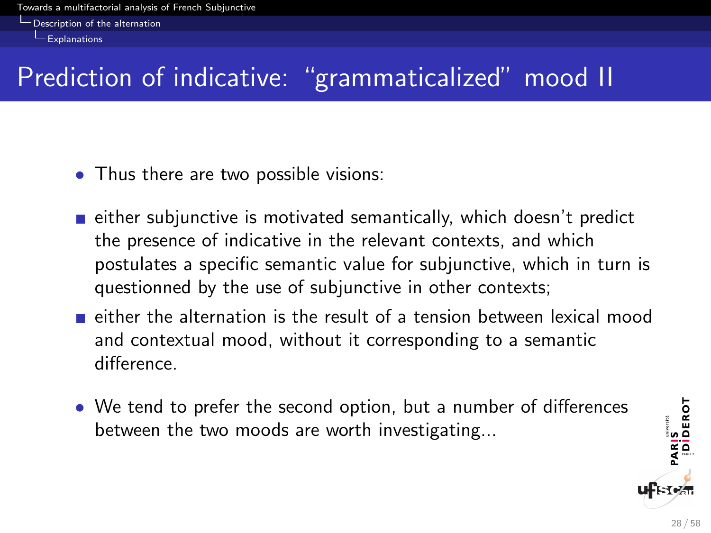<span id="page-28-0"></span>[Description of the alternation](#page-28-0)

 $L_{\text{Explanations}}$  $L_{\text{Explanations}}$  $L_{\text{Explanations}}$ 

# Prediction of indicative: "grammaticalized" mood II

- Thus there are two possible visions:
- $\blacksquare$  either subjunctive is motivated semantically, which doesn't predict the presence of indicative in the relevant contexts, and which postulates a specific semantic value for subjunctive, which in turn is questionned by the use of subjunctive in other contexts;
- $\blacksquare$  either the alternation is the result of a tension between lexical mood and contextual mood, without it corresponding to a semantic difference.
- We tend to prefer the second option, but a number of differences between the two moods are worth investigating...

PARIS<br>|DIDEROT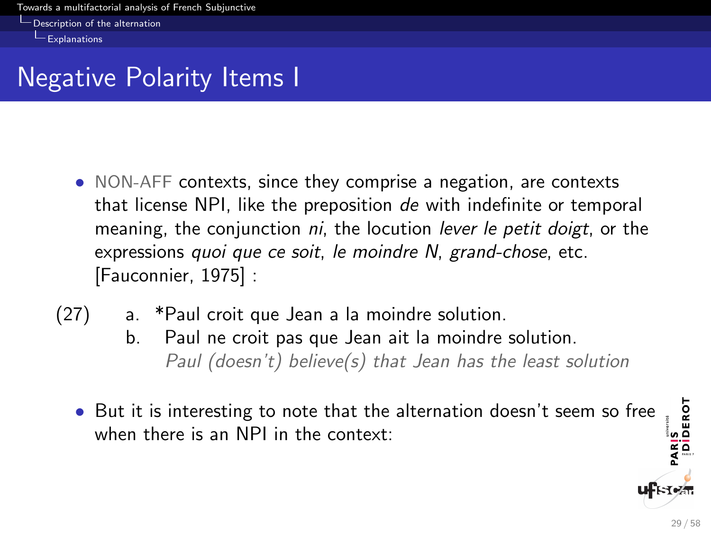<span id="page-29-0"></span>[Description of the alternation](#page-29-0)

 $L$  [Explanations](#page-29-0)

# Negative Polarity Items I

- NON-AFF contexts, since they comprise a negation, are contexts that license NPI, like the preposition de with indefinite or temporal meaning, the conjunction *ni*, the locution *lever le petit doigt*, or the expressions quoi que ce soit, le moindre N, grand-chose, etc. [Fauconnier, 1975] :
- (27) a. \*Paul croit que Jean a la moindre solution.
	- b. Paul ne croit pas que Jean ait la moindre solution. Paul (doesn't) believe(s) that Jean has the least solution
	- PARIS<br>|DİDEROT • But it is interesting to note that the alternation doesn't seem so free when there is an NPI in the context: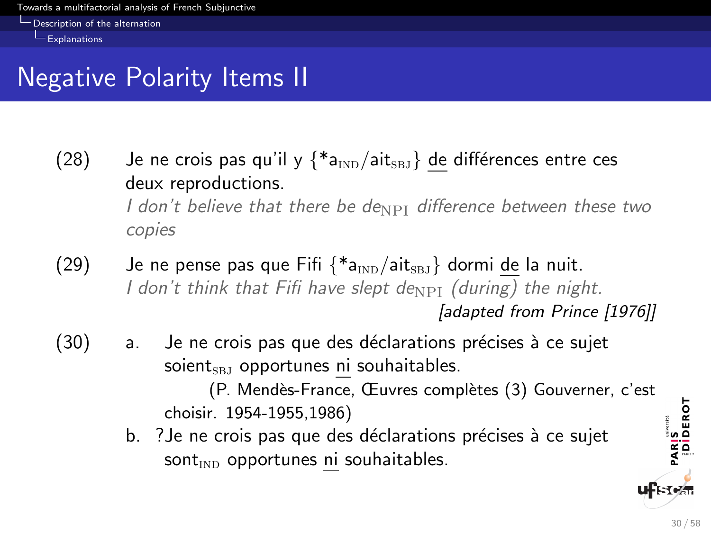<span id="page-30-0"></span>**[Description of the alternation](#page-30-0)** 

 $L$  [Explanations](#page-30-0)

# Negative Polarity Items II

- (28) Je ne crois pas qu'il y  $\{*_a_{\text{IND}}/\text{ait}_{\text{SBJ}}\}$  de différences entre ces deux reproductions. I don't believe that there be de $_{\rm NPI}$  difference between these two copies
- (29) Je ne pense pas que Fifi  $\{\ast_{a_{\text{IND}}}/a_{\text{itSBI}}\}$  dormi de la nuit. I don't think that Fifi have slept de<sub>NPI</sub> (during) the night. [adapted from Prince [1976]]
- $(30)$  a. Je ne crois pas que des déclarations précises à ce sujet soient $_{SBJ}$  opportunes ni souhaitables. (P. Mendès-France, Œuvres complètes (3) Gouverner, c'est

choisir. 1954-1955,1986)

b. ? Je ne crois pas que des déclarations précises à ce sujet  $sort_{\text{IND}}$  opportunes ni souhaitables.

PARIS<br>|DİDEROT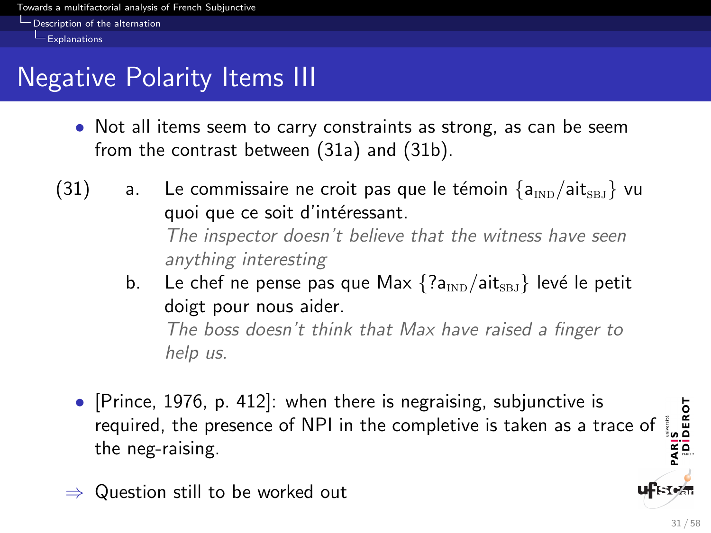<span id="page-31-0"></span>**[Description of the alternation](#page-31-0)** 

 $L$  [Explanations](#page-31-0)

# Negative Polarity Items III

- Not all items seem to carry constraints as strong, as can be seem from the contrast between (31a) and (31b).
- (31) a. Le commissaire ne croit pas que le témoin  $\{a_{\text{IND}}/a_{\text{IR}}\}$  vu quoi que ce soit d'intéressant. The inspector doesn't believe that the witness have seen anything interesting
	- b. Le chef ne pense pas que Max  $\{?a_{\text{IND}}/a$ it<sub>SBJ</sub>} levé le petit doigt pour nous aider. The boss doesn't think that Max have raised a finger to help us.
	- [Prince, 1976, p. 412]: when there is negraising, subjunctive is PARIS<br>|DIDEROT required, the presence of NPI in the completive is taken as a trace of the neg-raising.
	- $\Rightarrow$  Question still to be worked out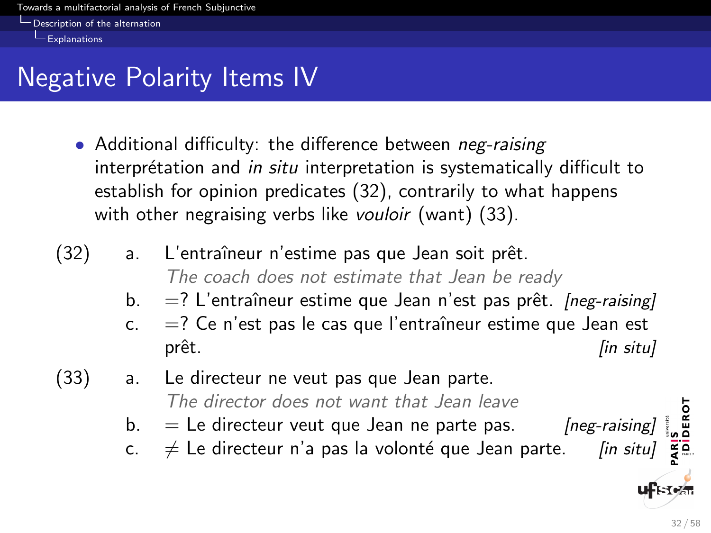<span id="page-32-0"></span>**[Description of the alternation](#page-32-0)** 

 $L$ [Explanations](#page-32-0)

# Negative Polarity Items IV

- Additional difficulty: the difference between *neg-raising* interprétation and *in situ* interpretation is systematically difficult to establish for opinion predicates (32), contrarily to what happens with other negraising verbs like vouloir (want) (33).
- (32) a. L'entraîneur n'estime pas que Jean soit prêt. The coach does not estimate that Jean be ready
	- b.  $=$ ? L'entraîneur estime que Jean n'est pas prêt. [neg-raising]
	- c.  $=$ ? Ce n'est pas le cas que l'entraîneur estime que Jean est prêt. [in situ]
- (33) a. Le directeur ne veut pas que Jean parte. The director does not want that Jean leave
	- b.  $=$  Le directeur veut que Jean ne parte pas. *[neg-raising]*
	- c.  $\neq$  Le directeur n'a pas la volonté que Jean parte. [in situ]

DEROT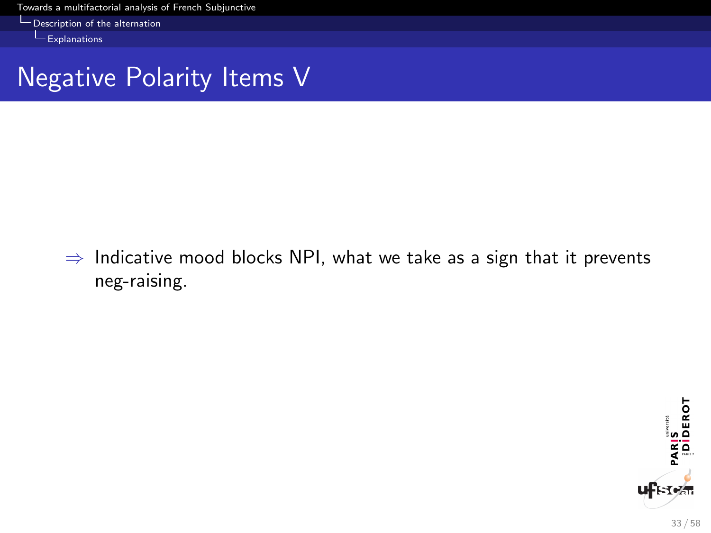**L** [Description of the alternation](#page-33-0)

<span id="page-33-0"></span>[Explanations](#page-33-0)

### Negative Polarity Items V

 $\Rightarrow$  Indicative mood blocks NPI, what we take as a sign that it prevents neg-raising.

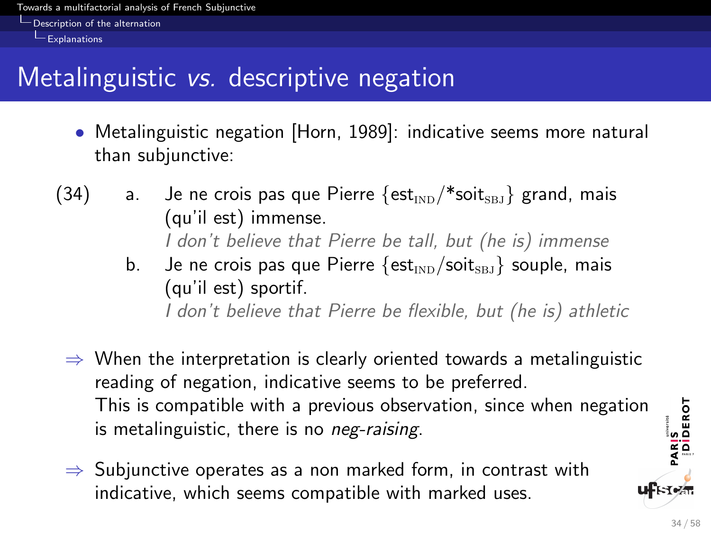<span id="page-34-0"></span>**[Description of the alternation](#page-34-0)** 

 $L$  [Explanations](#page-34-0)

# Metalinguistic vs. descriptive negation

- Metalinguistic negation [Horn, 1989]: indicative seems more natural than subjunctive:
- (34) a. Je ne crois pas que Pierre  $\{est_{ND}/\ast sol_{SBI}\}$  grand, mais (qu'il est) immense. I don't believe that Pierre be tall, but (he is) immense
	- b. Je ne crois pas que Pierre  $\{est_{\text{IND}}/soit_{\text{SBI}}\}$  souple, mais (qu'il est) sportif. I don't believe that Pierre be flexible, but (he is) athletic
	- $\Rightarrow$  When the interpretation is clearly oriented towards a metalinguistic reading of negation, indicative seems to be preferred. This is compatible with a previous observation, since when negation is metalinguistic, there is no *neg-raising*.
	- $\Rightarrow$  Subjunctive operates as a non marked form, in contrast with indicative, which seems compatible with marked uses.

PARIS<br>|DIDEROT

**IST**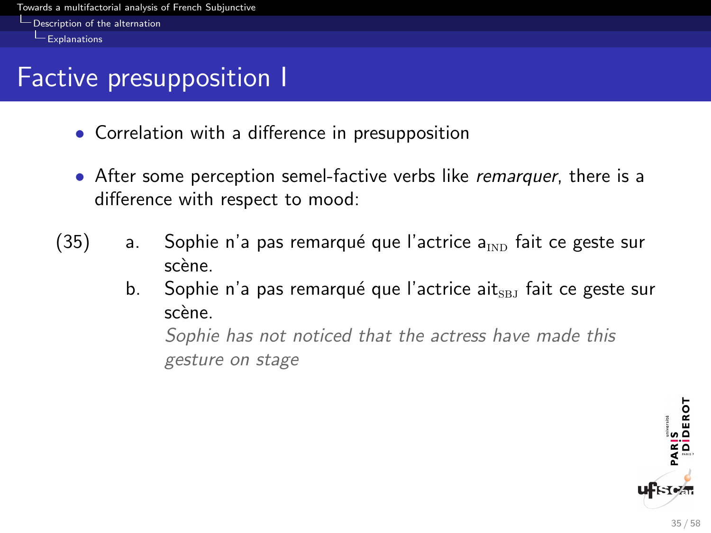<span id="page-35-0"></span>**[Description of the alternation](#page-35-0)** 

 $L$ [Explanations](#page-35-0)

# Factive presupposition I

- Correlation with a difference in presupposition
- After some perception semel-factive verbs like remarquer, there is a difference with respect to mood:
- $(35)$  a. Sophie n'a pas remarqué que l'actrice a<sub>ind</sub> fait ce geste sur scène.
	- b. Sophie n'a pas remarqué que l'actrice ait $_{\text{SBI}}$  fait ce geste sur scène.

Sophie has not noticed that the actress have made this gesture on stage

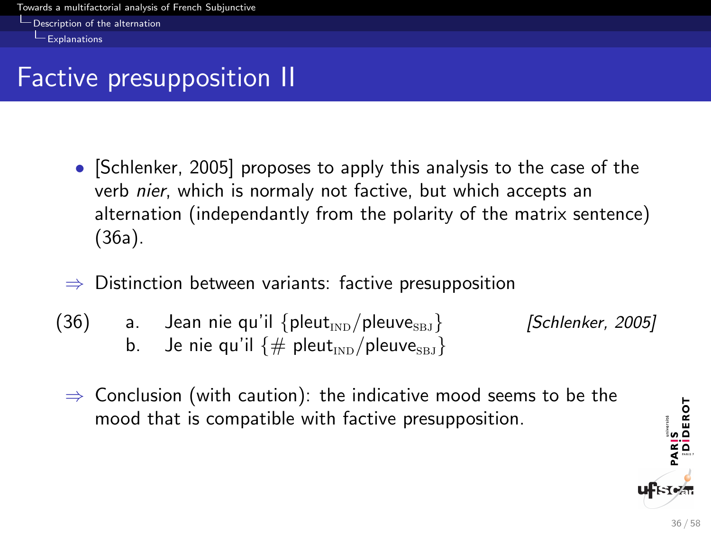<span id="page-36-0"></span>[Description of the alternation](#page-36-0)

 $L$ [Explanations](#page-36-0)

# Factive presupposition II

- [Schlenker, 2005] proposes to apply this analysis to the case of the verb nier, which is normaly not factive, but which accepts an alternation (independantly from the polarity of the matrix sentence) (36a).
- $\Rightarrow$  Distinction between variants: factive presupposition
- (36) a. Jean nie qu'il  $\{$ pleut<sub>tn $D$ </sub>/pleuve<sub>sBJ</sub>} [Schlenker, 2005] b. Je nie qu'il  $\{\#$  pleut<sub>IND</sub>/pleuve<sub>sB1</sub>}
	- $\Rightarrow$  Conclusion (with caution): the indicative mood seems to be the mood that is compatible with factive presupposition.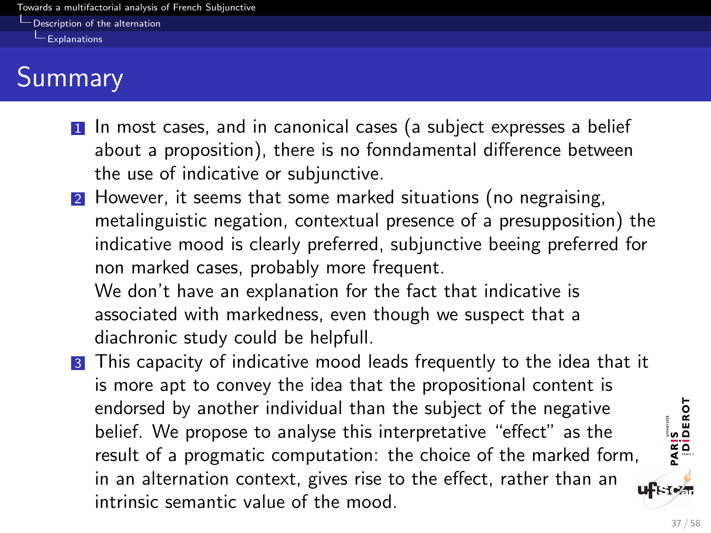<span id="page-37-0"></span>[Description of the alternation](#page-37-0)

 $L$  [Explanations](#page-37-0)

# **Summary**

- 1 In most cases, and in canonical cases (a subject expresses a belief about a proposition), there is no fonndamental difference between the use of indicative or subjunctive.
- <sup>2</sup> However, it seems that some marked situations (no negraising, metalinguistic negation, contextual presence of a presupposition) the indicative mood is clearly preferred, subjunctive beeing preferred for non marked cases, probably more frequent.

We don't have an explanation for the fact that indicative is associated with markedness, even though we suspect that a diachronic study could be helpfull.

3 This capacity of indicative mood leads frequently to the idea that it is more apt to convey the idea that the propositional content is endorsed by another individual than the subject of the negative belief. We propose to analyse this interpretative "effect" as the result of a progmatic computation: the choice of the marked form, in an alternation context, gives rise to the effect, rather than an ⊪кто⁄н intrinsic semantic value of the mood.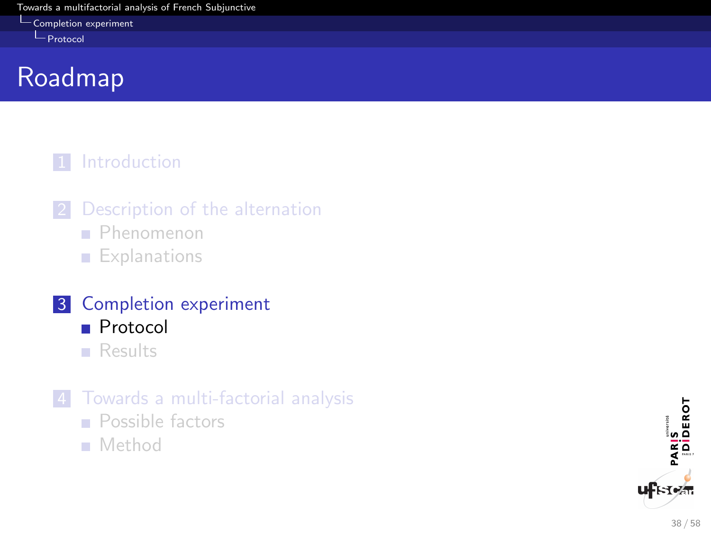[Completion experiment](#page-38-0)

<span id="page-38-0"></span>**L**[Protocol](#page-38-0)

# Roadmap

#### 1 [Introduction](#page-2-0)

- 2 [Description of the alternation](#page-9-0)
	- **[Phenomenon](#page-9-0)**
	- **[Explanations](#page-24-0)**
- 3 [Completion experiment](#page-38-0) **[Protocol](#page-38-0)** 
	- **[Results](#page-42-0)**
- 4 [Towards a multi-factorial analysis](#page-50-0)
	- **[Possible factors](#page-50-0)**
	- [Method](#page-55-0)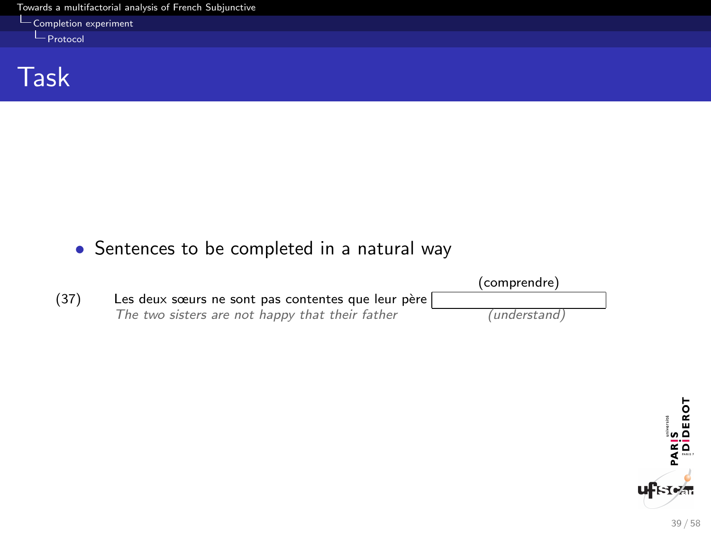$L_{\text{Completion}}$  experiment

<span id="page-39-0"></span>[Protocol](#page-39-0)

Task

#### • Sentences to be completed in a natural way



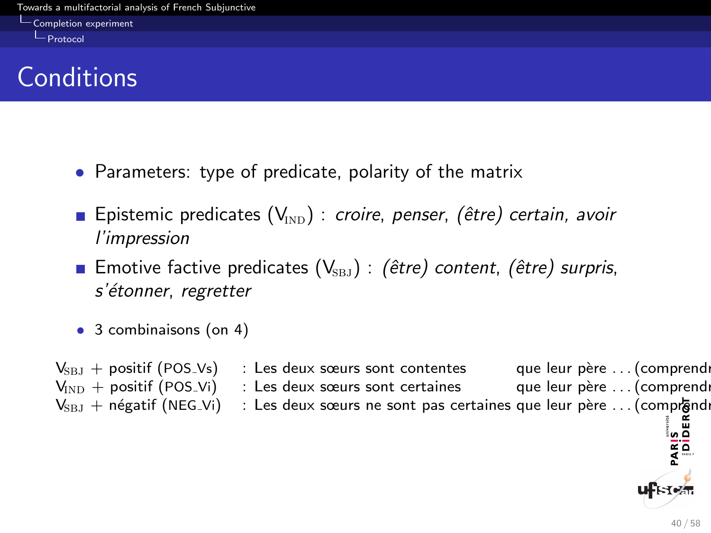<span id="page-40-0"></span>[Completion experiment](#page-40-0)

**L**[Protocol](#page-40-0)

# **Conditions**

- Parameters: type of predicate, polarity of the matrix
- Epistemic predicates  $(V_{\text{IND}})$ : croire, penser, (être) certain, avoir l'impression
- **Emotive factive predicates (V**<sub>SBJ</sub>) : (être) content, (être) surpris, s'étonner, regretter
- 3 combinaisons (on 4)

| $V_{\text{SBI}} +$ positif (POS_Vs)               | : Les deux sœurs sont contentes                                  | que leur père  (comprendr |
|---------------------------------------------------|------------------------------------------------------------------|---------------------------|
| $V_{\text{IND}} +$ positif (POS_Vi)               | : Les deux sœurs sont certaines                                  | que leur père  (comprendr |
| $V_{\text{SBI}} + n$ égatif (NEG <sub>-Vi</sub> ) | : Les deux sœurs ne sont pas certaines que leur père  (comprendr |                           |
|                                                   |                                                                  |                           |
|                                                   |                                                                  | <b>ARIS</b><br>ARIS       |
|                                                   |                                                                  |                           |
|                                                   |                                                                  |                           |

**ulistea**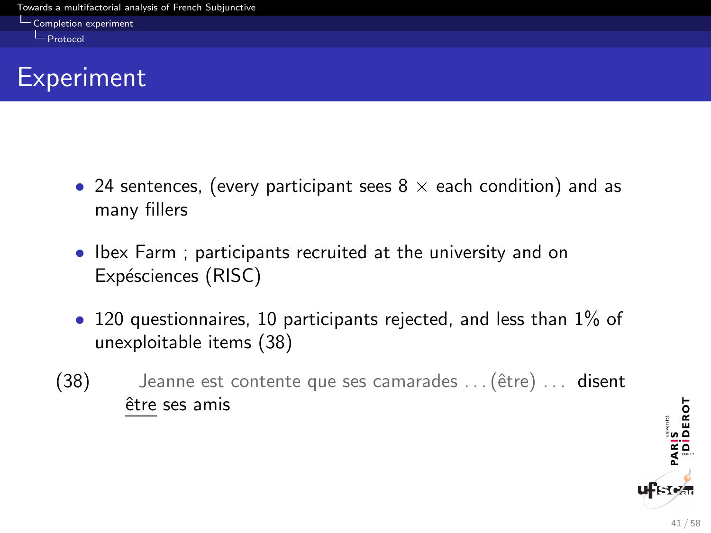<span id="page-41-0"></span>[Completion experiment](#page-41-0)

[Protocol](#page-41-0)

### **Experiment**

- 24 sentences, (every participant sees  $8 \times$  each condition) and as many fillers
- Ibex Farm ; participants recruited at the university and on Expésciences (RISC)
- 120 questionnaires, 10 participants rejected, and less than 1% of unexploitable items (38)
- $(38)$  Jeanne est contente que ses camarades  $\dots$  (être)  $\dots$  disent être ses amis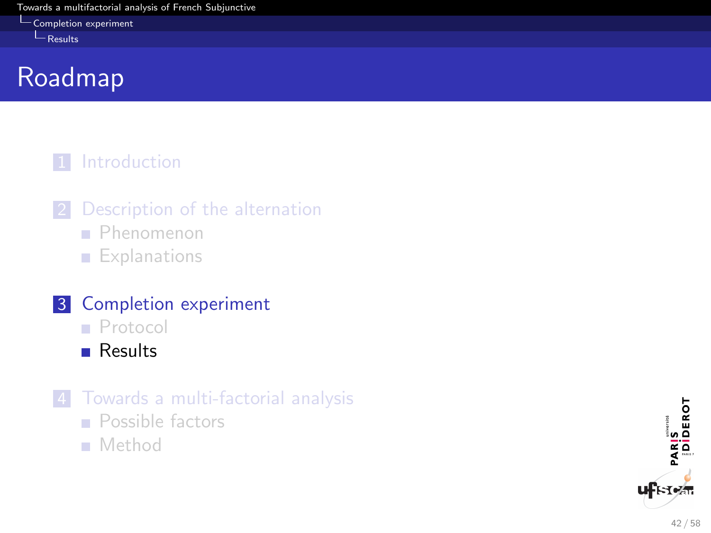[Completion experiment](#page-42-0)

<span id="page-42-0"></span> $L$ [Results](#page-42-0)

# Roadmap

#### 1 [Introduction](#page-2-0)

- 2 [Description of the alternation](#page-9-0)
	- **[Phenomenon](#page-9-0)**
	- **[Explanations](#page-24-0)**

### 3 [Completion experiment](#page-38-0)

- **[Protocol](#page-38-0)**
- **[Results](#page-42-0)**
- 4 [Towards a multi-factorial analysis](#page-50-0)
	- **[Possible factors](#page-50-0)**
	- [Method](#page-55-0)

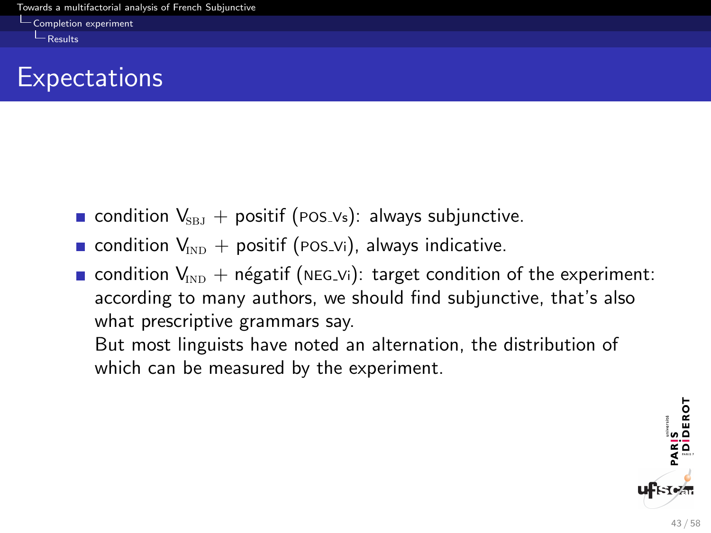<span id="page-43-0"></span>[Completion experiment](#page-43-0)

 $L$ [Results](#page-43-0)

### **Expectations**

- condition  $V_{\text{SBI}}$  + positif (POS Vs): always subjunctive.
- condition  $V_{\text{IND}}$  + positif (POS\_Vi), always indicative.
- condition  $V_{\text{IND}}$  + négatif (NEG Vi): target condition of the experiment: according to many authors, we should find subjunctive, that's also what prescriptive grammars say.

But most linguists have noted an alternation, the distribution of which can be measured by the experiment.

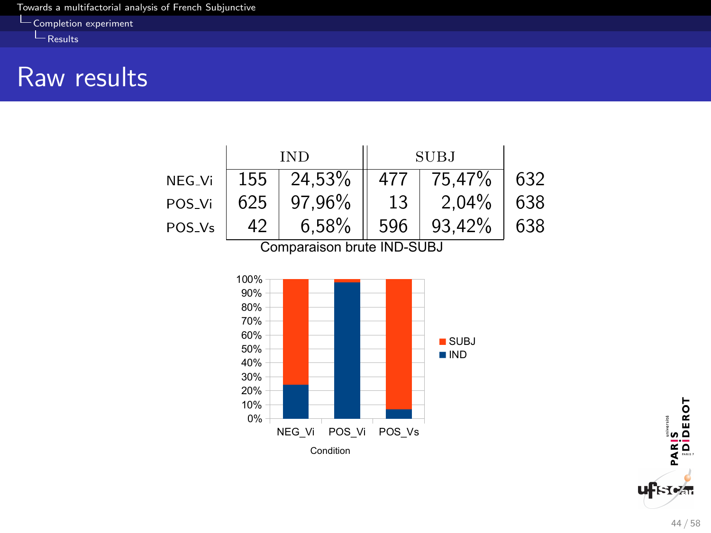[Completion experiment](#page-44-0)

<span id="page-44-0"></span> $L_{\text{Results}}$  $L_{\text{Results}}$  $L_{\text{Results}}$ 

### Raw results



PARIS<br>Diderot ufਮਿਅੰਜ

44 / 58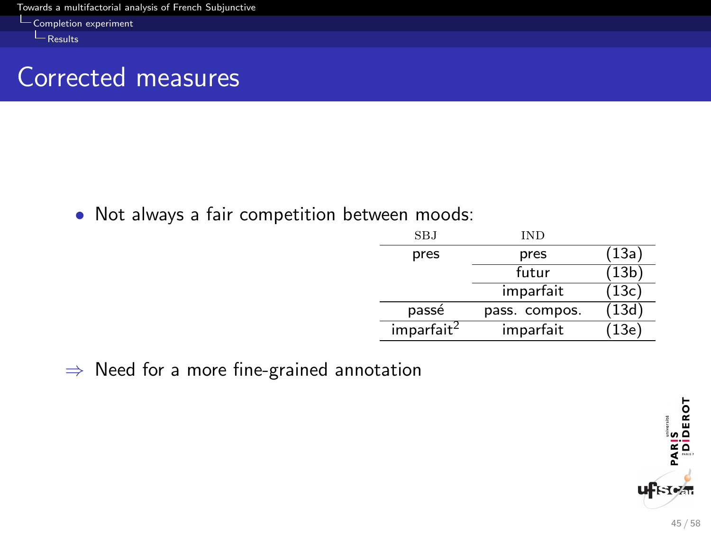L[Completion experiment](#page-45-0)

<span id="page-45-0"></span> $L_{\text{Results}}$  $L_{\text{Results}}$  $L_{\text{Results}}$ 

### Corrected measures

• Not always a fair competition between moods:

| SBJ                    | IND           |       |
|------------------------|---------------|-------|
| pres                   | pres          | (13a) |
|                        | futur         | (13b) |
|                        | imparfait     | (13c) |
| passé                  | pass. compos. | (13d) |
| imparfait <sup>2</sup> | imparfait     | (13e) |

⇒ Need for a more fine-grained annotation

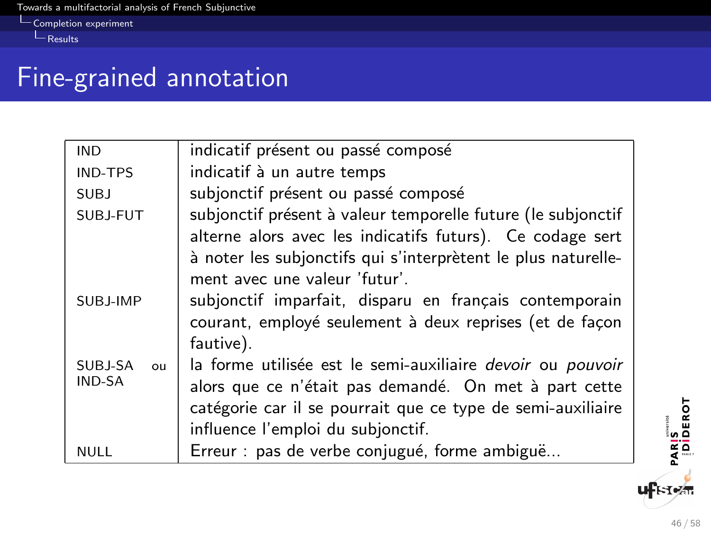$L_{\text{Completion experiment}}$  $L_{\text{Completion experiment}}$  $L_{\text{Completion experiment}}$ 

<span id="page-46-0"></span> $L_{\text{Results}}$  $L_{\text{Results}}$  $L_{\text{Results}}$ 

## Fine-grained annotation

| indicatif présent ou passé composé<br>indicatif à un autre temps<br>subjonctif présent ou passé composé |
|---------------------------------------------------------------------------------------------------------|
|                                                                                                         |
|                                                                                                         |
| subjonctif présent à valeur temporelle future (le subjonctif                                            |
| alterne alors avec les indicatifs futurs). Ce codage sert                                               |
| à noter les subjonctifs qui s'interprètent le plus naturelle-                                           |
| ment avec une valeur 'futur'.                                                                           |
| subjonctif imparfait, disparu en français contemporain                                                  |
| courant, employé seulement à deux reprises (et de façon                                                 |
| fautive).                                                                                               |
| la forme utilisée est le semi-auxiliaire <i>devoir</i> ou <i>pouvoir</i>                                |
| alors que ce n'était pas demandé. On met à part cette                                                   |
| catégorie car il se pourrait que ce type de semi-auxiliaire                                             |
| influence l'emploi du subjonctif.                                                                       |
| Erreur : pas de verbe conjugué, forme ambiguë                                                           |
|                                                                                                         |

46 / 58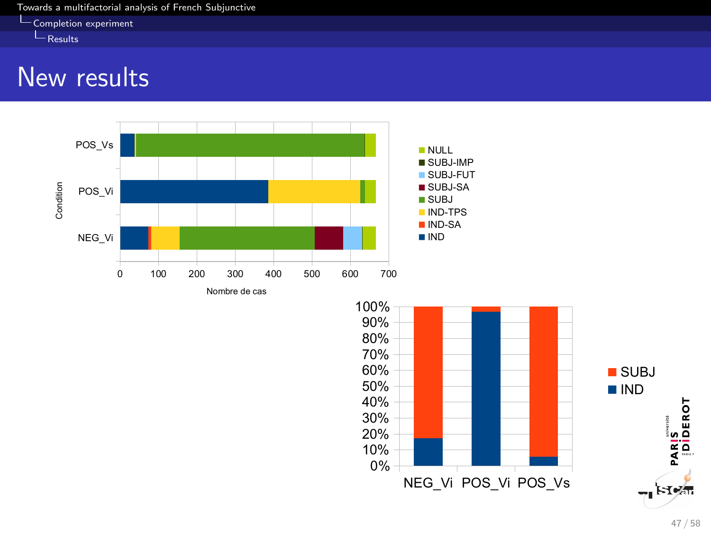[Completion experiment](#page-47-0)

<span id="page-47-0"></span> $L$ [Results](#page-47-0)

### New results





NEG\_Vi POS\_Vi POS\_Vs

0% 10% 20% 30% 40% 50%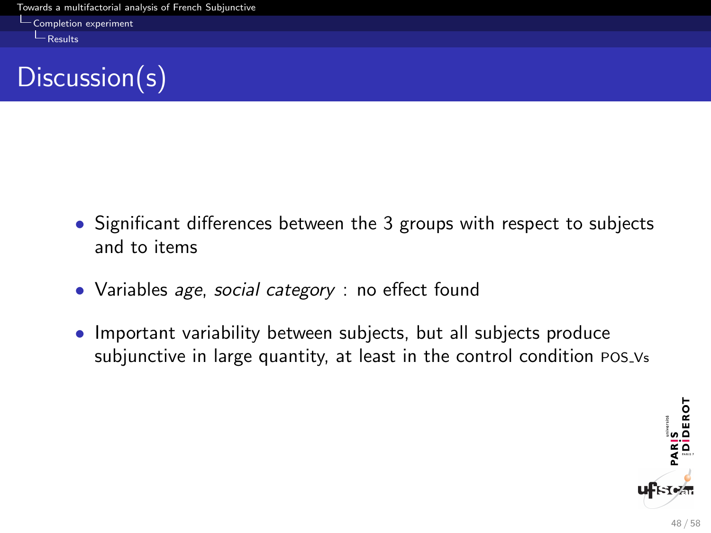<span id="page-48-0"></span>[Completion experiment](#page-48-0)

 $L$ [Results](#page-48-0)



- Significant differences between the 3 groups with respect to subjects and to items
- Variables *age, social category* : no effect found
- Important variability between subjects, but all subjects produce subjunctive in large quantity, at least in the control condition POS Vs

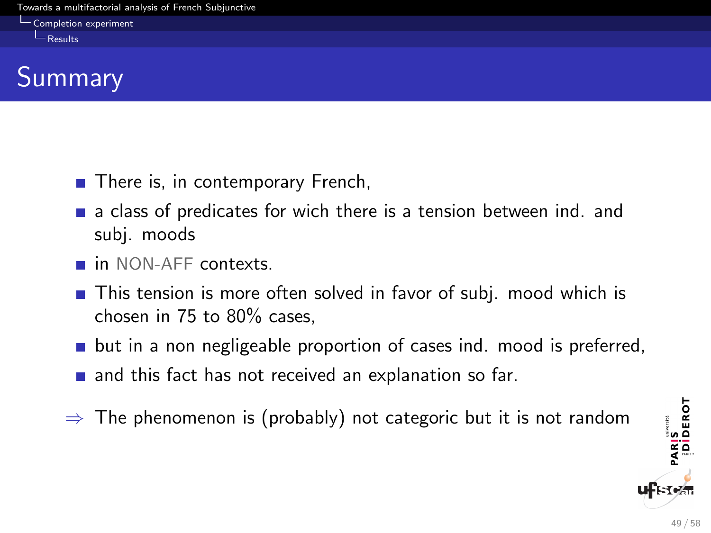[Completion experiment](#page-49-0)

<span id="page-49-0"></span> $L$ [Results](#page-49-0)

# **Summary**

- There is, in contemporary French,
- $\blacksquare$  a class of predicates for wich there is a tension between ind. and subj. moods
- **n** in NON-AFF contexts.
- **This tension is more often solved in favor of subj. mood which is** chosen in 75 to 80% cases,
- **D** but in a non negligeable proportion of cases ind. mood is preferred,
- $\blacksquare$  and this fact has not received an explanation so far.
- $\Rightarrow$  The phenomenon is (probably) not categoric but it is not random

PARIS<br>|DİDEROT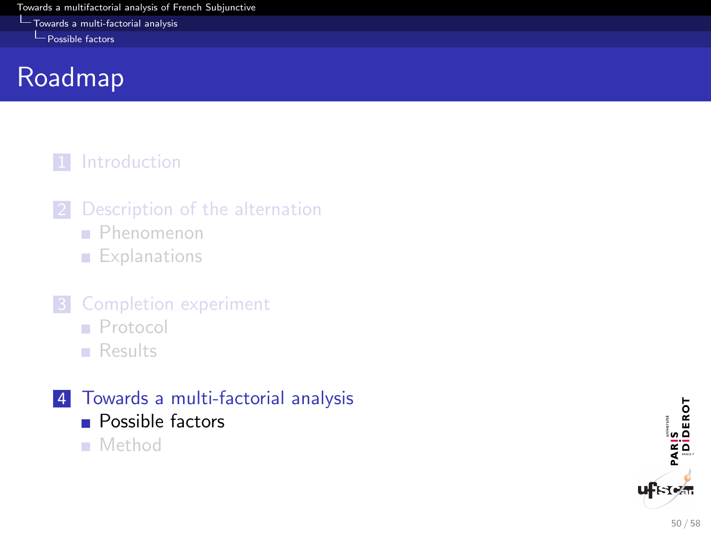<span id="page-50-0"></span>**[Towards a multi-factorial analysis](#page-50-0)** 

[Possible factors](#page-50-0)

# Roadmap

#### 1 [Introduction](#page-2-0)

- 2 [Description of the alternation](#page-9-0)
	- **[Phenomenon](#page-9-0)**
	- **[Explanations](#page-24-0)**
- **3** [Completion experiment](#page-38-0)
	- **[Protocol](#page-38-0)**
	- **[Results](#page-42-0)**
- 4 [Towards a multi-factorial analysis](#page-50-0)
	- **[Possible factors](#page-50-0)**
	- [Method](#page-55-0)

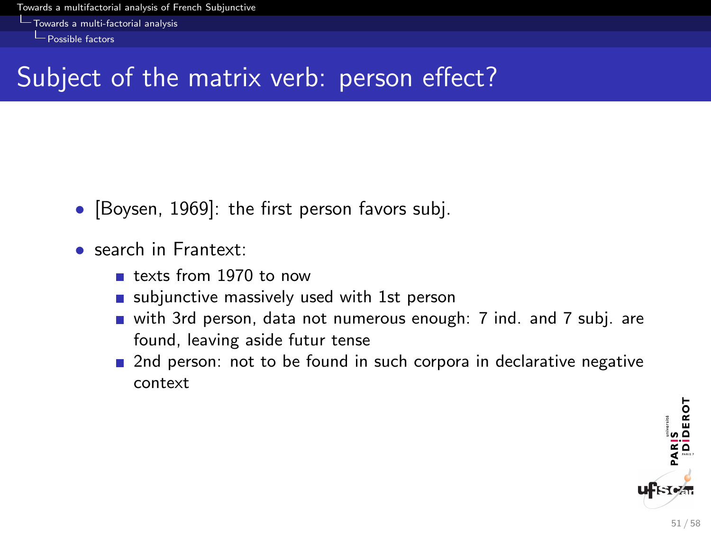<span id="page-51-0"></span>[Towards a multi-factorial analysis](#page-51-0)

 $\Box$  [Possible factors](#page-51-0)

# Subject of the matrix verb: person effect?

- [Boysen, 1969]: the first person favors subj.
- search in Frantext:
	- texts from 1970 to now
	- subjunctive massively used with 1st person
	- with 3rd person, data not numerous enough: 7 ind. and 7 subj. are found, leaving aside futur tense
	- **2** 2nd person: not to be found in such corpora in declarative negative context

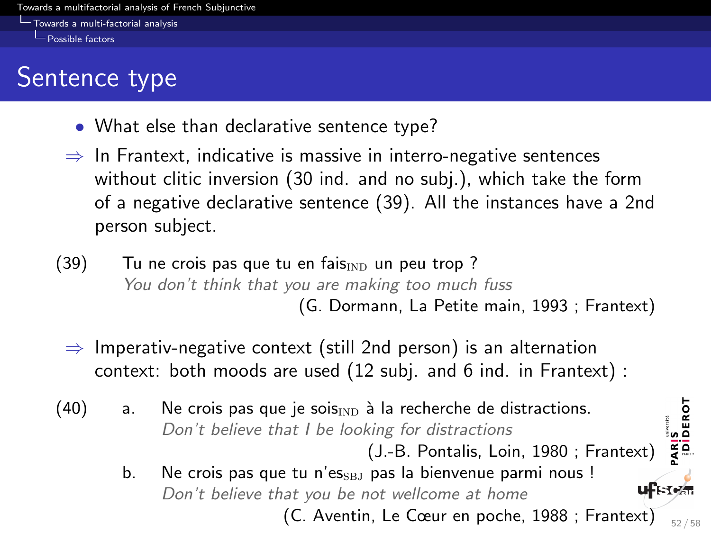<span id="page-52-0"></span>[Towards a multi-factorial analysis](#page-52-0)

 $\Box$  [Possible factors](#page-52-0)

# Sentence type

- What else than declarative sentence type?
- $\Rightarrow$  In Frantext, indicative is massive in interro-negative sentences without clitic inversion (30 ind. and no subj.), which take the form of a negative declarative sentence (39). All the instances have a 2nd person subject.
- $(39)$  Tu ne crois pas que tu en fais $_{\text{IND}}$  un peu trop ? You don't think that you are making too much fuss (G. Dormann, La Petite main, 1993 ; Frantext)
	- $\Rightarrow$  Imperativ-negative context (still 2nd person) is an alternation context: both moods are used (12 subj. and 6 ind. in Frantext) :
- (40) a. Ne crois pas que je sois $_{\text{IND}}$  à la recherche de distractions. Don't believe that I be looking for distractions

(J.-B. Pontalis, Loin, 1980 ; Frantext)

b. Ne crois pas que tu n'es $_{SBJ}$  pas la bienvenue parmi nous ! Don't believe that you be not wellcome at home (C. Aventin, Le Cœur en poche, 1988 ; Frantext)  $\frac{1}{52 / 58}$ 

PARIS<br>|Diderot

**uf**Fren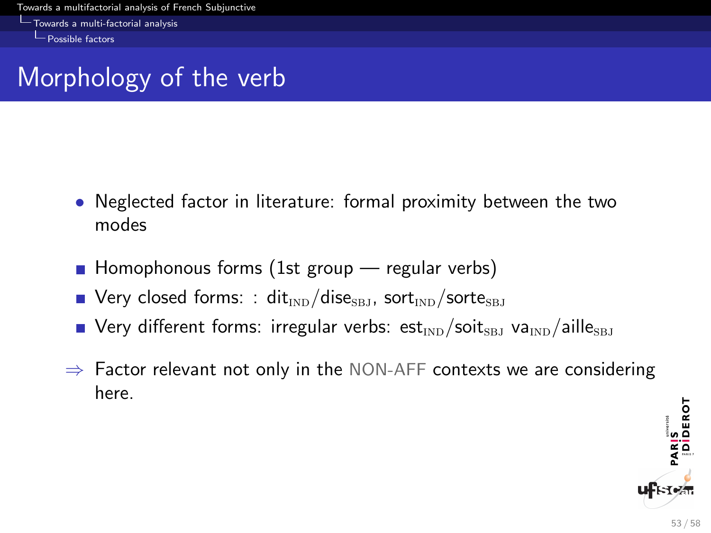<span id="page-53-0"></span>[Towards a multi-factorial analysis](#page-53-0)

 $\Box$  [Possible factors](#page-53-0)

# Morphology of the verb

- Neglected factor in literature: formal proximity between the two modes
- $\blacksquare$  Homophonous forms (1st group  $\blacksquare$  regular verbs)
- $\blacksquare$  Very closed forms: : dit<sub>IND</sub>/dise<sub>SBJ</sub>, sort<sub>IND</sub>/sorte<sub>SBJ</sub>
- **Very different forms: irregular verbs: est**<sub>IND</sub>/soit<sub>SBJ</sub> va<sub>IND</sub>/aille<sub>SBJ</sub>
- $\Rightarrow$  Factor relevant not only in the NON-AFF contexts we are considering here.

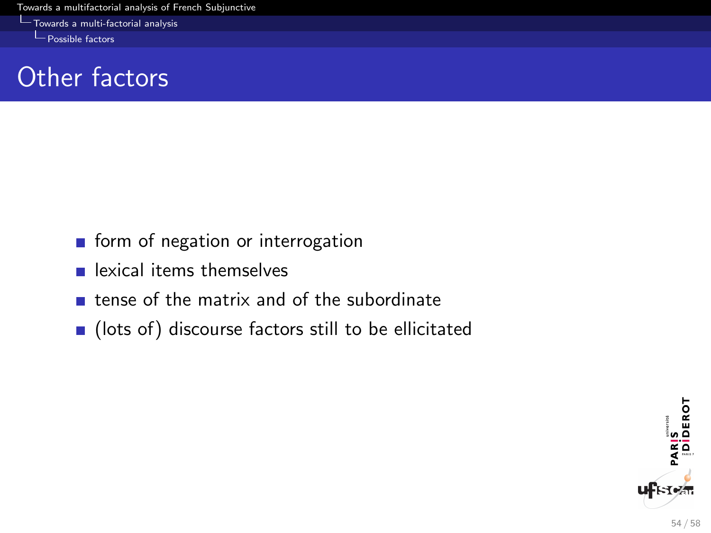<span id="page-54-0"></span>**[Towards a multi-factorial analysis](#page-54-0)** 

[Possible factors](#page-54-0)

# Other factors

- **form** of negation or interrogation
- **E.** lexical items themselves
- $\blacksquare$  tense of the matrix and of the subordinate
- (lots of) discourse factors still to be ellicitated

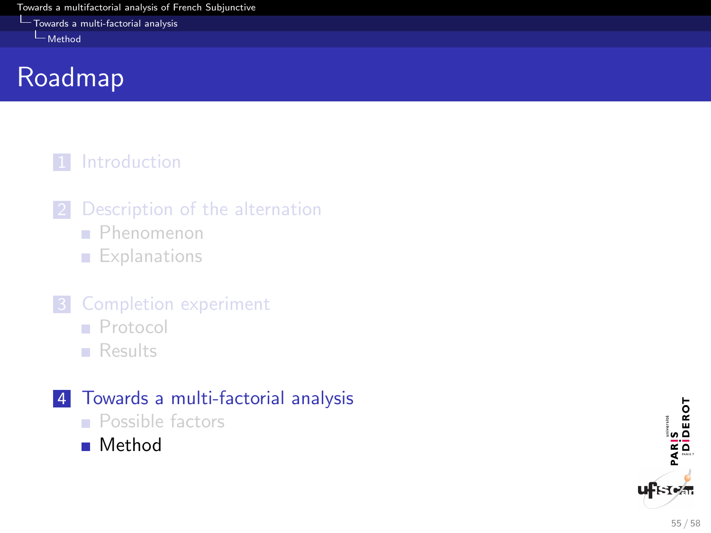<span id="page-55-0"></span>**[Towards a multi-factorial analysis](#page-55-0)** 

[Method](#page-55-0)

# Roadmap

#### 1 [Introduction](#page-2-0)

- 2 [Description of the alternation](#page-9-0)
	- **[Phenomenon](#page-9-0)**
	- **[Explanations](#page-24-0)**
- **3** [Completion experiment](#page-38-0)
	- **[Protocol](#page-38-0)**
	- **[Results](#page-42-0)**

### 4 [Towards a multi-factorial analysis](#page-50-0)

- **[Possible factors](#page-50-0)**
- **[Method](#page-55-0)**

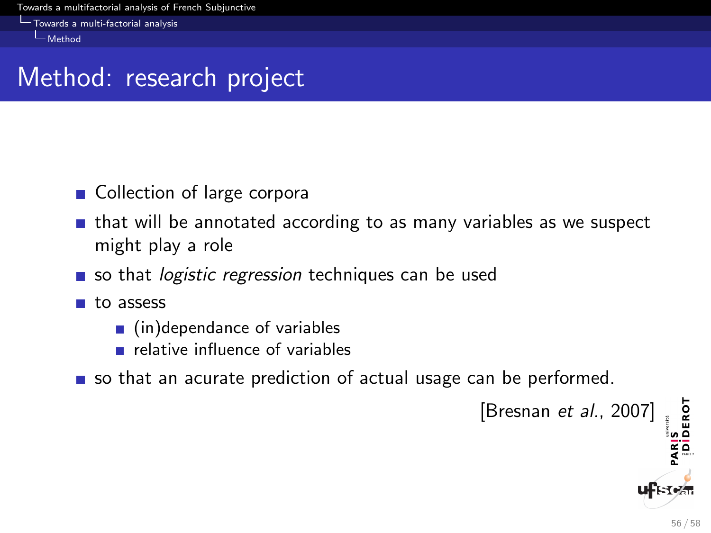<span id="page-56-0"></span>[Towards a multi-factorial analysis](#page-56-0) [Method](#page-56-0)

### Method: research project

- Collection of large corpora
- $\blacksquare$  that will be annotated according to as many variables as we suspect might play a role
- so that *logistic regression* techniques can be used
- **n** to assess
	- $\blacksquare$  (in)dependance of variables
	- $\blacksquare$  relative influence of variables
- so that an acurate prediction of actual usage can be performed.

PARIS<br>|Diderot [Bresnan et al., 2007]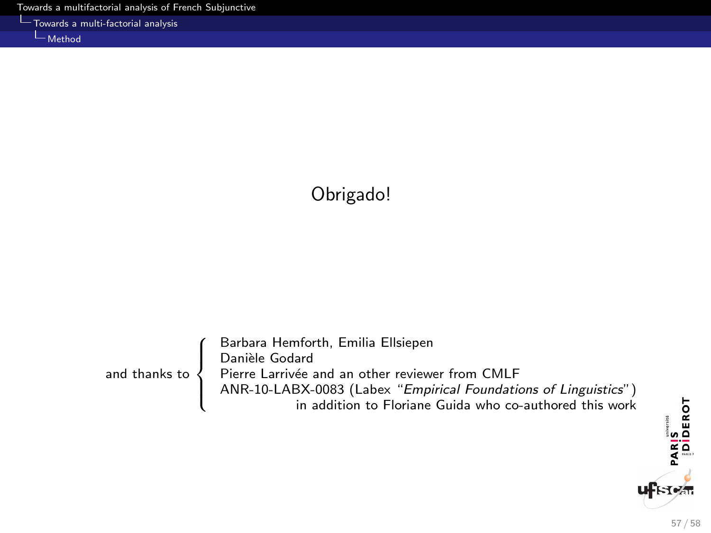<span id="page-57-0"></span>

|  | - Towards a multi-factorial analysis |  |
|--|--------------------------------------|--|
|  |                                      |  |

[Method](#page-57-0)

### Obrigado!

|                         | Barbara Hemforth, Emilia Ellsiepen                              |
|-------------------------|-----------------------------------------------------------------|
|                         | Danièle Godard                                                  |
| and thanks to $\langle$ | Pierre Larrivée and an other reviewer from CMLF                 |
|                         | ANR-10-LABX-0083 (Labex "Empirical Foundations of Linguistics") |
|                         | in addition to Floriane Guida who co-authored this work         |